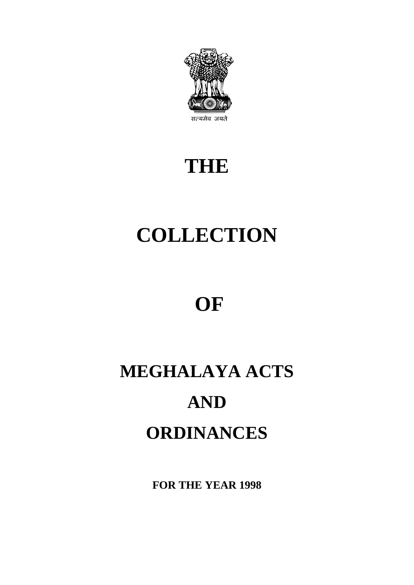

# **THE**

# **COLLECTION**

# **OF**

# **MEGHALAYA ACTS AND ORDINANCES**

**FOR THE YEAR 1998**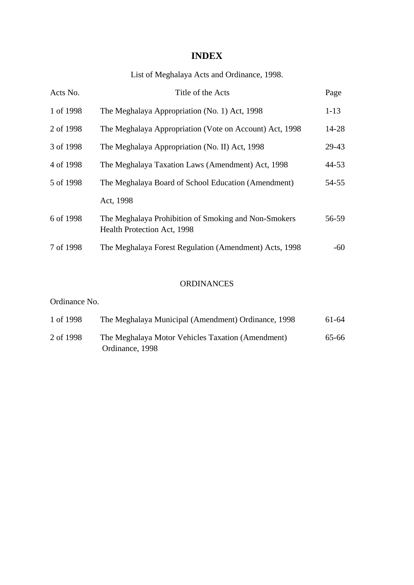### **INDEX**

## List of Meghalaya Acts and Ordinance, 1998.

| 1 of 1998<br>The Meghalaya Appropriation (No. 1) Act, 1998<br>$1 - 13$<br>2 of 1998<br>14-28<br>The Meghalaya Appropriation (Vote on Account) Act, 1998<br>3 of 1998<br>The Meghalaya Appropriation (No. II) Act, 1998<br>29-43<br>4 of 1998<br>44-53<br>The Meghalaya Taxation Laws (Amendment) Act, 1998<br>5 of 1998<br>The Meghalaya Board of School Education (Amendment)<br>54-55<br>Act, 1998<br>6 of 1998<br>The Meghalaya Prohibition of Smoking and Non-Smokers<br>56-59<br>Health Protection Act, 1998<br>7 of 1998<br>The Meghalaya Forest Regulation (Amendment) Acts, 1998<br>-60 | Acts No. | Title of the Acts | Page |
|-------------------------------------------------------------------------------------------------------------------------------------------------------------------------------------------------------------------------------------------------------------------------------------------------------------------------------------------------------------------------------------------------------------------------------------------------------------------------------------------------------------------------------------------------------------------------------------------------|----------|-------------------|------|
|                                                                                                                                                                                                                                                                                                                                                                                                                                                                                                                                                                                                 |          |                   |      |
|                                                                                                                                                                                                                                                                                                                                                                                                                                                                                                                                                                                                 |          |                   |      |
|                                                                                                                                                                                                                                                                                                                                                                                                                                                                                                                                                                                                 |          |                   |      |
|                                                                                                                                                                                                                                                                                                                                                                                                                                                                                                                                                                                                 |          |                   |      |
|                                                                                                                                                                                                                                                                                                                                                                                                                                                                                                                                                                                                 |          |                   |      |
|                                                                                                                                                                                                                                                                                                                                                                                                                                                                                                                                                                                                 |          |                   |      |
|                                                                                                                                                                                                                                                                                                                                                                                                                                                                                                                                                                                                 |          |                   |      |
|                                                                                                                                                                                                                                                                                                                                                                                                                                                                                                                                                                                                 |          |                   |      |

#### ORDINANCES

#### Ordinance No.

| 1 of 1998 | The Meghalaya Municipal (Amendment) Ordinance, 1998 | 61-64 |
|-----------|-----------------------------------------------------|-------|
| 2 of 1998 | The Meghalaya Motor Vehicles Taxation (Amendment)   | 65-66 |
|           | Ordinance, 1998                                     |       |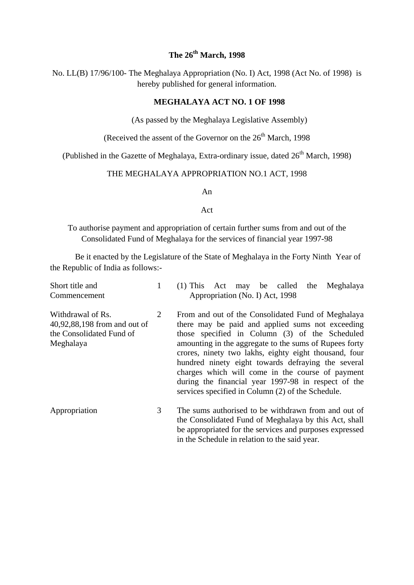#### **The 26th March, 1998**

No. LL(B) 17/96/100- The Meghalaya Appropriation (No. I) Act, 1998 (Act No. of 1998) is hereby published for general information.

#### **MEGHALAYA ACT NO. 1 OF 1998**

(As passed by the Meghalaya Legislative Assembly)

(Received the assent of the Governor on the  $26<sup>th</sup>$  March, 1998

(Published in the Gazette of Meghalaya, Extra-ordinary issue, dated  $26<sup>th</sup>$  March, 1998)

#### THE MEGHALAYA APPROPRIATION NO.1 ACT, 1998

An

#### Act

To authorise payment and appropriation of certain further sums from and out of the Consolidated Fund of Meghalaya for the services of financial year 1997-98

Be it enacted by the Legislature of the State of Meghalaya in the Forty Ninth Year of the Republic of India as follows:-

| Short title and<br>Commencement                                                            |   | $(1)$ This Act may be called<br>Meghalaya<br>the<br>Appropriation (No. I) Act, 1998                                                                                                                                                                                                                                                                                                                                                                                                               |
|--------------------------------------------------------------------------------------------|---|---------------------------------------------------------------------------------------------------------------------------------------------------------------------------------------------------------------------------------------------------------------------------------------------------------------------------------------------------------------------------------------------------------------------------------------------------------------------------------------------------|
| Withdrawal of Rs.<br>40,92,88,198 from and out of<br>the Consolidated Fund of<br>Meghalaya | 2 | From and out of the Consolidated Fund of Meghalaya<br>there may be paid and applied sums not exceeding<br>those specified in Column (3) of the Scheduled<br>amounting in the aggregate to the sums of Rupees forty<br>crores, ninety two lakhs, eighty eight thousand, four<br>hundred ninety eight towards defraying the several<br>charges which will come in the course of payment<br>during the financial year 1997-98 in respect of the<br>services specified in Column (2) of the Schedule. |
| Appropriation                                                                              | 3 | The sums authorised to be withdrawn from and out of<br>the Consolidated Fund of Meghalaya by this Act, shall<br>be appropriated for the services and purposes expressed<br>in the Schedule in relation to the said year.                                                                                                                                                                                                                                                                          |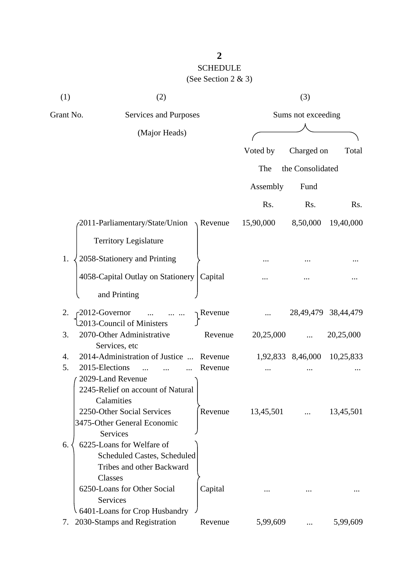# SCHEDULE (See Section 2 & 3)

| (1)       | (2)                                                    |                      |           | (3)                |                         |
|-----------|--------------------------------------------------------|----------------------|-----------|--------------------|-------------------------|
| Grant No. | Services and Purposes                                  |                      |           | Sums not exceeding |                         |
|           | (Major Heads)                                          |                      |           |                    |                         |
|           |                                                        |                      | Voted by  | Charged on         | Total                   |
|           |                                                        |                      | The       | the Consolidated   |                         |
|           |                                                        |                      |           |                    |                         |
|           |                                                        |                      | Assembly  | Fund               |                         |
|           |                                                        |                      | Rs.       | Rs.                | Rs.                     |
|           | 2011-Parliamentary/State/Union                         | Revenue              | 15,90,000 | 8,50,000           | 19,40,000               |
|           | <b>Territory Legislature</b>                           |                      |           |                    |                         |
| 1.        | 2058-Stationery and Printing                           |                      |           |                    |                         |
|           | 4058-Capital Outlay on Stationery                      | Capital              |           |                    |                         |
|           | and Printing                                           |                      |           |                    |                         |
| 2.        | -2012-Governor                                         | <sub>1</sub> Revenue |           |                    | 28, 49, 479 38, 44, 479 |
| 3.        | 2013-Council of Ministers<br>2070-Other Administrative | Revenue              | 20,25,000 |                    | 20,25,000               |
|           | Services, etc                                          |                      |           |                    |                         |
| 4.        | 2014-Administration of Justice                         | Revenue              |           | 1,92,833 8,46,000  | 10,25,833               |
| 5.        | 2015-Elections                                         | Revenue              |           |                    |                         |
|           | 2029-Land Revenue<br>2245-Relief on account of Natural |                      |           |                    |                         |
|           | Calamities                                             |                      |           |                    |                         |
|           | 2250-Other Social Services                             | Revenue              | 13,45,501 |                    | 13,45,501               |
|           | 3475-Other General Economic                            |                      |           |                    |                         |
|           | <b>Services</b>                                        |                      |           |                    |                         |
| 6.        | 6225-Loans for Welfare of                              |                      |           |                    |                         |
|           | <b>Scheduled Castes, Scheduled</b>                     |                      |           |                    |                         |
|           | Tribes and other Backward                              |                      |           |                    |                         |
|           | Classes                                                |                      |           |                    |                         |
|           | 6250-Loans for Other Social                            | Capital              |           |                    |                         |
|           | Services                                               |                      |           |                    |                         |
|           | 6401-Loans for Crop Husbandry                          |                      |           |                    |                         |
| 7.        | 2030-Stamps and Registration                           | Revenue              | 5,99,609  |                    | 5,99,609                |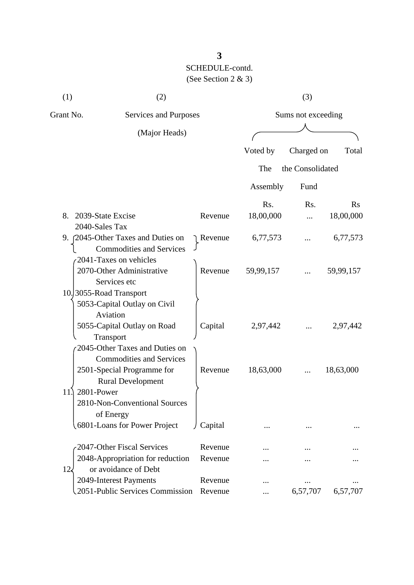(1)  $(2)$   $(3)$ 

| Grant No. | Services and Purposes                       |           |           | Sums not exceeding |           |
|-----------|---------------------------------------------|-----------|-----------|--------------------|-----------|
|           | (Major Heads)                               |           |           |                    |           |
|           |                                             |           |           |                    |           |
|           |                                             |           | Voted by  | Charged on         | Total     |
|           |                                             |           | The       | the Consolidated   |           |
|           |                                             |           | Assembly  | Fund               |           |
|           |                                             |           | Rs.       | R <sub>s</sub> .   | Rs        |
| 8.        | 2039-State Excise                           | Revenue   | 18,00,000 |                    | 18,00,000 |
|           | 2040-Sales Tax                              |           |           |                    |           |
|           | 9. [2045-Other Taxes and Duties on          | Revenue   | 6,77,573  |                    | 6,77,573  |
|           | <b>Commodities and Services</b>             |           |           |                    |           |
|           | 2041-Taxes on vehicles                      |           |           |                    |           |
|           | 2070-Other Administrative                   | Revenue   | 59,99,157 |                    | 59,99,157 |
|           | Services etc                                |           |           |                    |           |
|           | 10. 3055-Road Transport                     |           |           |                    |           |
|           | 5053-Capital Outlay on Civil                |           |           |                    |           |
|           | Aviation                                    |           |           |                    |           |
|           | 5055-Capital Outlay on Road                 | Capital   | 2,97,442  |                    | 2,97,442  |
|           | Transport<br>2045-Other Taxes and Duties on |           |           |                    |           |
|           | <b>Commodities and Services</b>             |           |           |                    |           |
|           | 2501-Special Programme for                  | Revenue   | 18,63,000 |                    | 18,63,000 |
|           | <b>Rural Development</b>                    |           |           |                    |           |
| 11.       | 2801-Power                                  |           |           |                    |           |
|           | 2810-Non-Conventional Sources               |           |           |                    |           |
|           | of Energy                                   |           |           |                    |           |
|           | 6801-Loans for Power Project                | J Capital |           |                    |           |
|           | 2047-Other Fiscal Services                  | Revenue   |           |                    |           |
|           | 2048-Appropriation for reduction            | Revenue   |           |                    |           |
| $12\zeta$ | or avoidance of Debt                        |           |           |                    |           |
|           | 2049-Interest Payments                      | Revenue   |           |                    |           |
|           | 2051-Public Services Commission             | Revenue   |           | 6,57,707           | 6,57,707  |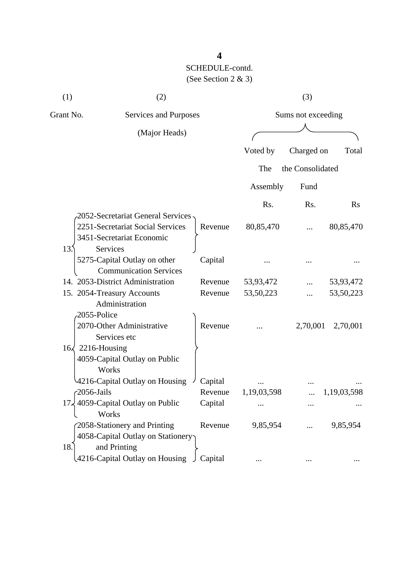| (1)                      | (2)                                               |         |             | (3)                |             |
|--------------------------|---------------------------------------------------|---------|-------------|--------------------|-------------|
| Grant No.                | Services and Purposes                             |         |             | Sums not exceeding |             |
|                          | (Major Heads)                                     |         |             |                    |             |
|                          |                                                   |         | Voted by    | Charged on         | Total       |
|                          |                                                   |         | The         | the Consolidated   |             |
|                          |                                                   |         | Assembly    | Fund               |             |
|                          |                                                   |         | Rs.         | Rs.                | Rs          |
|                          | 2052-Secretariat General Services                 |         |             |                    |             |
|                          | 2251-Secretariat Social Services                  | Revenue | 80,85,470   |                    | 80,85,470   |
|                          | 3451-Secretariat Economic                         |         |             |                    |             |
| 13.5                     | Services                                          |         |             |                    |             |
|                          | 5275-Capital Outlay on other                      | Capital |             |                    |             |
|                          | <b>Communication Services</b>                     |         |             |                    |             |
|                          | 14. 2053-District Administration                  | Revenue | 53,93,472   |                    | 53,93,472   |
|                          | 15. 2054-Treasury Accounts                        | Revenue | 53, 50, 223 |                    | 53,50,223   |
|                          | Administration                                    |         |             |                    |             |
| 2055-Police              |                                                   |         |             |                    |             |
|                          | 2070-Other Administrative                         | Revenue |             | 2,70,001           | 2,70,001    |
|                          | Services etc                                      |         |             |                    |             |
| $16\sqrt{2216}$ -Housing |                                                   |         |             |                    |             |
|                          | 4059-Capital Outlay on Public                     |         |             |                    |             |
|                          | Works                                             |         |             |                    |             |
|                          | 4216-Capital Outlay on Housing                    | Capital |             |                    |             |
| $-2056$ -Jails           |                                                   | Revenue | 1,19,03,598 |                    | 1,19,03,598 |
| 17.                      | 4059-Capital Outlay on Public<br>Works            | Capital |             |                    |             |
|                          |                                                   | Revenue | 9,85,954    |                    | 9,85,954    |
|                          | 2058-Stationery and Printing                      |         |             |                    |             |
| 18.                      | 4058-Capital Outlay on Stationery<br>and Printing |         |             |                    |             |
|                          |                                                   |         |             |                    |             |
|                          | 4216-Capital Outlay on Housing                    | Capital |             |                    |             |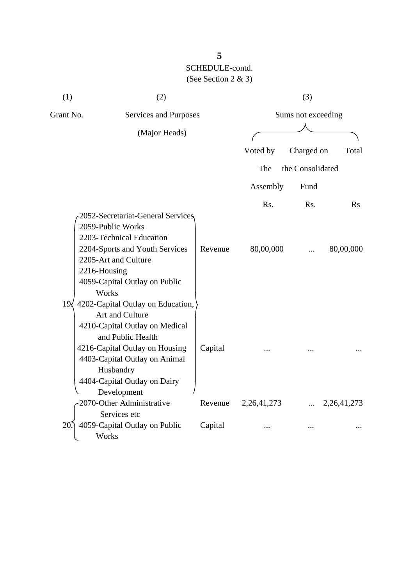| (1)          | (2)                                                                                                                                                                                                                                        |         | (3)                |                  |                |
|--------------|--------------------------------------------------------------------------------------------------------------------------------------------------------------------------------------------------------------------------------------------|---------|--------------------|------------------|----------------|
|              | Grant No.<br>Services and Purposes                                                                                                                                                                                                         |         | Sums not exceeding |                  |                |
|              | (Major Heads)                                                                                                                                                                                                                              |         |                    |                  |                |
|              |                                                                                                                                                                                                                                            |         | Voted by           | Charged on       | Total          |
|              |                                                                                                                                                                                                                                            |         | The                | the Consolidated |                |
|              |                                                                                                                                                                                                                                            |         | Assembly           | Fund             |                |
|              |                                                                                                                                                                                                                                            |         | Rs.                | Rs.              | Rs             |
|              | 2052-Secretariat-General Services<br>2059-Public Works<br>2203-Technical Education<br>2204-Sports and Youth Services<br>2205-Art and Culture<br>2216-Housing<br>4059-Capital Outlay on Public<br>Works                                     | Revenue | 80,00,000          |                  | 80,00,000      |
| $19\sqrt{ }$ | 4202-Capital Outlay on Education,<br>Art and Culture<br>4210-Capital Outlay on Medical<br>and Public Health<br>4216-Capital Outlay on Housing<br>4403-Capital Outlay on Animal<br>Husbandry<br>4404-Capital Outlay on Dairy<br>Development | Capital |                    |                  |                |
|              | 2070-Other Administrative                                                                                                                                                                                                                  | Revenue | 2, 26, 41, 273     |                  | 2, 26, 41, 273 |
| 20           | Services etc<br>4059-Capital Outlay on Public<br>Works                                                                                                                                                                                     | Capital |                    |                  |                |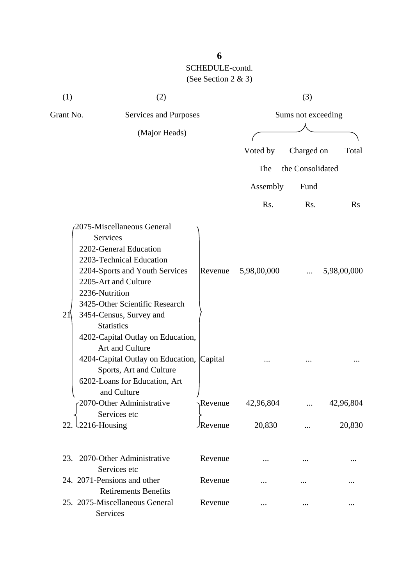| (1)       | (2)                                                                                                                                                                                                                                                        |                |                    | (3)              |             |
|-----------|------------------------------------------------------------------------------------------------------------------------------------------------------------------------------------------------------------------------------------------------------------|----------------|--------------------|------------------|-------------|
| Grant No. | Services and Purposes                                                                                                                                                                                                                                      |                | Sums not exceeding |                  |             |
|           | (Major Heads)                                                                                                                                                                                                                                              |                |                    |                  |             |
|           |                                                                                                                                                                                                                                                            |                | Voted by           | Charged on       | Total       |
|           |                                                                                                                                                                                                                                                            |                | The                | the Consolidated |             |
|           |                                                                                                                                                                                                                                                            |                | Assembly           | Fund             |             |
|           |                                                                                                                                                                                                                                                            |                | Rs.                | Rs.              | $\rm Rs$    |
| 21        | 2075-Miscellaneous General<br>Services<br>2202-General Education<br>2203-Technical Education<br>2204-Sports and Youth Services<br>2205-Art and Culture<br>2236-Nutrition<br>3425-Other Scientific Research<br>3454-Census, Survey and<br><b>Statistics</b> | Revenue        | 5,98,00,000        |                  | 5,98,00,000 |
|           | 4202-Capital Outlay on Education,<br>Art and Culture<br>4204-Capital Outlay on Education, Capital<br>Sports, Art and Culture<br>6202-Loans for Education, Art<br>and Culture<br>2070-Other Administrative                                                  | Revenue        | 42,96,804          |                  | 42,96,804   |
|           | Services etc<br>$2216$ -Housing                                                                                                                                                                                                                            | <b>Revenue</b> | 20,830             |                  | 20,830      |
|           | 23. 2070-Other Administrative<br>Services etc                                                                                                                                                                                                              | Revenue        |                    |                  |             |
|           | 24. 2071-Pensions and other                                                                                                                                                                                                                                | Revenue        |                    |                  |             |
|           | <b>Retirements Benefits</b><br>25. 2075-Miscellaneous General<br>Services                                                                                                                                                                                  | Revenue        |                    |                  |             |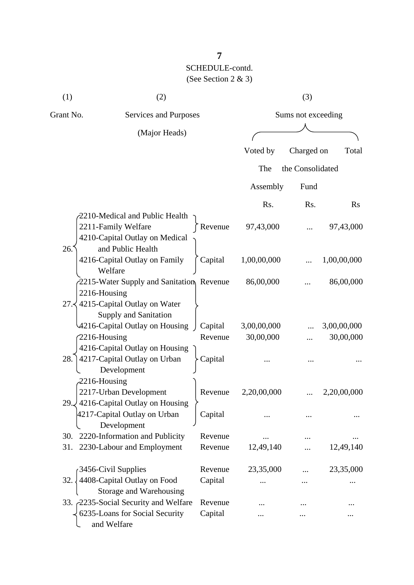| (1)             | (2)                                                   |         |             | (3)                |             |  |
|-----------------|-------------------------------------------------------|---------|-------------|--------------------|-------------|--|
| Grant No.       | Services and Purposes                                 |         |             | Sums not exceeding |             |  |
|                 | (Major Heads)                                         |         |             |                    |             |  |
|                 |                                                       |         | Voted by    | Charged on         | Total       |  |
|                 |                                                       |         | The         | the Consolidated   |             |  |
|                 |                                                       |         | Assembly    | Fund               |             |  |
|                 |                                                       |         | Rs.         | Rs.                | <b>Rs</b>   |  |
|                 | 2210-Medical and Public Health                        |         |             |                    |             |  |
|                 | 2211-Family Welfare<br>4210-Capital Outlay on Medical | Revenue | 97,43,000   |                    | 97,43,000   |  |
| 26.             | and Public Health                                     |         |             |                    |             |  |
|                 | 4216-Capital Outlay on Family                         | Capital | 1,00,00,000 |                    | 1,00,00,000 |  |
|                 | Welfare                                               |         | 86,00,000   |                    | 86,00,000   |  |
| 2216-Housing    | 2215-Water Supply and Sanitation Revenue              |         |             |                    |             |  |
|                 | 27. 4215-Capital Outlay on Water                      |         |             |                    |             |  |
|                 | Supply and Sanitation                                 |         |             |                    |             |  |
|                 | 4216-Capital Outlay on Housing                        | Capital | 3,00,00,000 |                    | 3,00,00,000 |  |
| 2216-Housing    |                                                       | Revenue | 30,00,000   |                    | 30,00,000   |  |
|                 | 4216-Capital Outlay on Housing                        |         |             |                    |             |  |
| 28.             | 4217-Capital Outlay on Urban                          | Capital |             |                    |             |  |
|                 | Development                                           |         |             |                    |             |  |
| $2216$ -Housing |                                                       |         |             |                    |             |  |
|                 | 2217-Urban Development                                | Revenue | 2,20,00,000 |                    | 2,20,00,000 |  |
| 29.2            | 4216-Capital Outlay on Housing                        |         |             |                    |             |  |
|                 | 4217-Capital Outlay on Urban                          | Capital |             |                    |             |  |
|                 | Development                                           |         |             |                    |             |  |
| 30.             | 2220-Information and Publicity                        | Revenue |             |                    |             |  |
| 31.             | 2230-Labour and Employment                            | Revenue | 12,49,140   |                    | 12,49,140   |  |
|                 | 3456-Civil Supplies                                   | Revenue | 23,35,000   |                    | 23,35,000   |  |
| 32.             | 4408-Capital Outlay on Food                           | Capital |             |                    |             |  |
|                 | Storage and Warehousing                               |         |             |                    |             |  |
|                 | 33. 2235-Social Security and Welfare                  | Revenue |             |                    |             |  |
|                 | 6235-Loans for Social Security<br>and Welfare         | Capital |             |                    |             |  |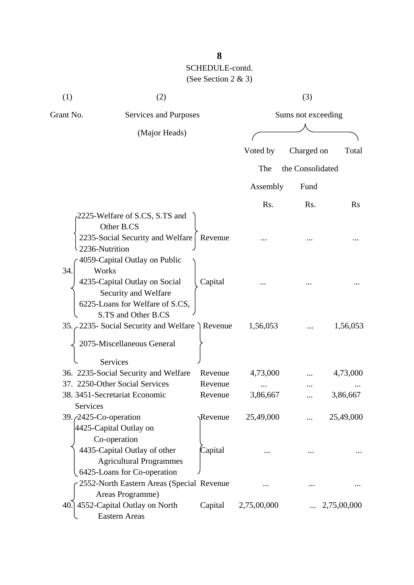| (1)                             | (2)                                                                                                                                                       |                    |                    | (3)              |                      |
|---------------------------------|-----------------------------------------------------------------------------------------------------------------------------------------------------------|--------------------|--------------------|------------------|----------------------|
| Grant No.                       | Services and Purposes                                                                                                                                     |                    | Sums not exceeding |                  |                      |
|                                 | (Major Heads)                                                                                                                                             |                    |                    |                  |                      |
|                                 |                                                                                                                                                           |                    | Voted by           | Charged on       | Total                |
|                                 |                                                                                                                                                           |                    | The                | the Consolidated |                      |
|                                 |                                                                                                                                                           |                    | Assembly           | Fund             |                      |
|                                 |                                                                                                                                                           |                    | Rs.                | Rs.              | $\rm Rs$             |
| 2236-Nutrition                  | 2225-Welfare of S.CS, S.TS and<br>Other B.CS<br>2235-Social Security and Welfare                                                                          | Revenue            |                    |                  |                      |
| 34.                             | 4059-Capital Outlay on Public<br>Works<br>4235-Capital Outlay on Social<br>Security and Welfare<br>6225-Loans for Welfare of S.CS,<br>S.TS and Other B.CS | Capital            |                    |                  |                      |
|                                 | 35. 2235- Social Security and Welfare Revenue                                                                                                             |                    | 1,56,053           |                  | 1,56,053             |
|                                 | 2075-Miscellaneous General<br><b>Services</b>                                                                                                             |                    |                    |                  |                      |
|                                 | 36. 2235-Social Security and Welfare<br>37. 2250-Other Social Services                                                                                    | Revenue<br>Revenue | 4,73,000           |                  | 4,73,000             |
| Services                        | 38. 3451-Secretariat Economic                                                                                                                             | Revenue            | 3,86,667           |                  | 3,86,667             |
| 39. <i>(2425-Co-operation</i> ) | 4425-Capital Outlay on<br>Co-operation                                                                                                                    | <b>Revenue</b>     | 25,49,000          |                  | 25,49,000            |
|                                 | 4435-Capital Outlay of other<br><b>Agricultural Programmes</b><br>6425-Loans for Co-operation                                                             | Capital            |                    |                  |                      |
|                                 | 2552-North Eastern Areas (Special Revenue                                                                                                                 |                    |                    |                  |                      |
|                                 | Areas Programme)<br>40.] 4552-Capital Outlay on North<br><b>Eastern Areas</b>                                                                             | Capital            | 2,75,00,000        |                  | $\ldots$ 2,75,00,000 |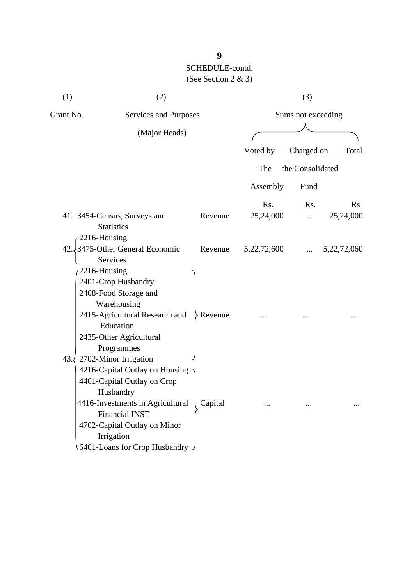| (1)                          | (2)                                                                                                                                                                                                                                              |                    | (3)            |                    |             |
|------------------------------|--------------------------------------------------------------------------------------------------------------------------------------------------------------------------------------------------------------------------------------------------|--------------------|----------------|--------------------|-------------|
| Grant No.                    | Services and Purposes                                                                                                                                                                                                                            |                    |                | Sums not exceeding |             |
|                              | (Major Heads)                                                                                                                                                                                                                                    |                    |                |                    |             |
|                              |                                                                                                                                                                                                                                                  |                    | Voted by       | Charged on         | Total       |
|                              |                                                                                                                                                                                                                                                  |                    | The            | the Consolidated   |             |
|                              |                                                                                                                                                                                                                                                  |                    | Assembly       | Fund               |             |
|                              |                                                                                                                                                                                                                                                  |                    | Rs.            | Rs.                | Rs          |
|                              | 41. 3454-Census, Surveys and                                                                                                                                                                                                                     | Revenue            | 25,24,000      | $\ddotsc$          | 25,24,000   |
| 2216-Housing<br>2216-Housing | <b>Statistics</b><br>42. 3475-Other General Economic<br>Services<br>2401-Crop Husbandry<br>2408-Food Storage and<br>Warehousing<br>2415-Agricultural Research and<br>Education<br>2435-Other Agricultural<br>Programmes                          | Revenue<br>Revenue | 5, 22, 72, 600 |                    | 5,22,72,060 |
| 43.                          | 2702-Minor Irrigation<br>4216-Capital Outlay on Housing<br>4401-Capital Outlay on Crop<br>Husbandry<br>4416-Investments in Agricultural<br><b>Financial INST</b><br>4702-Capital Outlay on Minor<br>Irrigation<br>.6401-Loans for Crop Husbandry | Capital            |                |                    |             |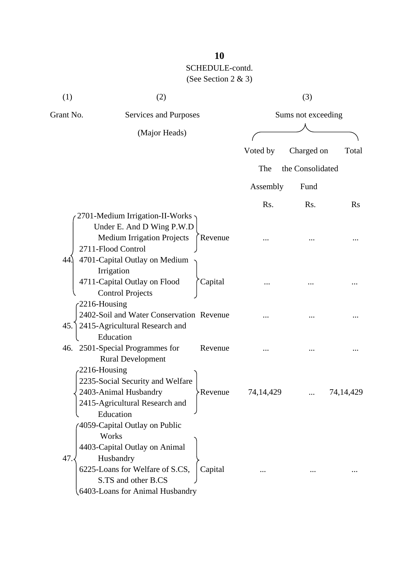| (1)       | (2)                                      |                |           | (3)                |             |  |
|-----------|------------------------------------------|----------------|-----------|--------------------|-------------|--|
| Grant No. | Services and Purposes                    |                |           | Sums not exceeding |             |  |
|           | (Major Heads)                            |                |           |                    |             |  |
|           |                                          |                | Voted by  | Charged on         | Total       |  |
|           |                                          |                | The       | the Consolidated   |             |  |
|           |                                          |                | Assembly  | Fund               |             |  |
|           |                                          |                | Rs.       | Rs.                | $\rm Rs$    |  |
|           | 2701-Medium Irrigation-II-Works ·        |                |           |                    |             |  |
|           | Under E. And D Wing P.W.D                |                |           |                    |             |  |
|           | <b>Medium Irrigation Projects</b>        | Revenue        |           |                    |             |  |
|           | 2711-Flood Control                       |                |           |                    |             |  |
| 44.       | 4701-Capital Outlay on Medium            |                |           |                    |             |  |
|           | Irrigation                               |                |           |                    |             |  |
|           | 4711-Capital Outlay on Flood             | Capital        |           |                    |             |  |
|           | <b>Control Projects</b>                  |                |           |                    |             |  |
|           | $-2216$ -Housing                         |                |           |                    |             |  |
|           | 2402-Soil and Water Conservation Revenue |                |           |                    |             |  |
|           | 45. 2415-Agricultural Research and       |                |           |                    |             |  |
|           | Education                                |                |           |                    |             |  |
|           | 46. 2501-Special Programmes for          | Revenue        |           |                    |             |  |
|           | <b>Rural Development</b>                 |                |           |                    |             |  |
|           | $-2216$ -Housing                         |                |           |                    |             |  |
|           | 2235-Social Security and Welfare         |                |           |                    |             |  |
|           | 2403-Animal Husbandry                    | <b>Revenue</b> | 74,14,429 |                    | 74, 14, 429 |  |
|           | 2415-Agricultural Research and           |                |           |                    |             |  |
|           | Education                                |                |           |                    |             |  |
|           | 4059-Capital Outlay on Public            |                |           |                    |             |  |
|           | Works                                    |                |           |                    |             |  |
|           | 4403-Capital Outlay on Animal            |                |           |                    |             |  |
| 47.       | Husbandry                                |                |           |                    |             |  |
|           | 6225-Loans for Welfare of S.CS,          | Capital        |           |                    |             |  |
|           | S.TS and other B.CS                      |                |           |                    |             |  |
|           | 6403-Loans for Animal Husbandry          |                |           |                    |             |  |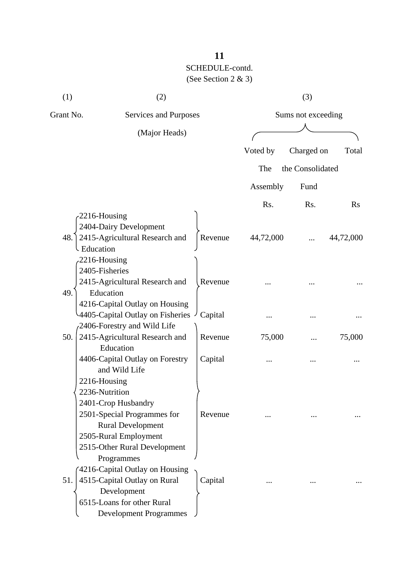| Services and Purposes<br>(Major Heads) |                                                                                                                                                                                                                                                                                                                                                                                                                                                                                                                                                                                                                                          |                                                                                         | Sums not exceeding |                  |
|----------------------------------------|------------------------------------------------------------------------------------------------------------------------------------------------------------------------------------------------------------------------------------------------------------------------------------------------------------------------------------------------------------------------------------------------------------------------------------------------------------------------------------------------------------------------------------------------------------------------------------------------------------------------------------------|-----------------------------------------------------------------------------------------|--------------------|------------------|
|                                        |                                                                                                                                                                                                                                                                                                                                                                                                                                                                                                                                                                                                                                          |                                                                                         |                    |                  |
|                                        |                                                                                                                                                                                                                                                                                                                                                                                                                                                                                                                                                                                                                                          |                                                                                         |                    |                  |
|                                        |                                                                                                                                                                                                                                                                                                                                                                                                                                                                                                                                                                                                                                          | Voted by                                                                                | Charged on         | Total            |
|                                        |                                                                                                                                                                                                                                                                                                                                                                                                                                                                                                                                                                                                                                          | The                                                                                     |                    |                  |
|                                        |                                                                                                                                                                                                                                                                                                                                                                                                                                                                                                                                                                                                                                          | Assembly                                                                                | Fund               |                  |
|                                        |                                                                                                                                                                                                                                                                                                                                                                                                                                                                                                                                                                                                                                          | Rs.                                                                                     | Rs.                | Rs               |
|                                        | Revenue                                                                                                                                                                                                                                                                                                                                                                                                                                                                                                                                                                                                                                  | 44,72,000                                                                               |                    | 44,72,000        |
|                                        |                                                                                                                                                                                                                                                                                                                                                                                                                                                                                                                                                                                                                                          |                                                                                         |                    |                  |
|                                        |                                                                                                                                                                                                                                                                                                                                                                                                                                                                                                                                                                                                                                          |                                                                                         |                    |                  |
|                                        | Capital                                                                                                                                                                                                                                                                                                                                                                                                                                                                                                                                                                                                                                  |                                                                                         |                    |                  |
|                                        | Revenue                                                                                                                                                                                                                                                                                                                                                                                                                                                                                                                                                                                                                                  | 75,000                                                                                  |                    | 75,000           |
|                                        | Capital                                                                                                                                                                                                                                                                                                                                                                                                                                                                                                                                                                                                                                  |                                                                                         |                    |                  |
|                                        |                                                                                                                                                                                                                                                                                                                                                                                                                                                                                                                                                                                                                                          |                                                                                         |                    |                  |
|                                        |                                                                                                                                                                                                                                                                                                                                                                                                                                                                                                                                                                                                                                          |                                                                                         |                    |                  |
|                                        | Capital                                                                                                                                                                                                                                                                                                                                                                                                                                                                                                                                                                                                                                  |                                                                                         |                    |                  |
|                                        | -2216-Housing<br>2404-Dairy Development<br>2415-Agricultural Research and<br>2216-Housing<br>2405-Fisheries<br>2415-Agricultural Research and<br>Education<br>4216-Capital Outlay on Housing<br>2406-Forestry and Wild Life<br>2415-Agricultural Research and<br>Education<br>4406-Capital Outlay on Forestry<br>and Wild Life<br>2216-Housing<br>2236-Nutrition<br>2401-Crop Husbandry<br>2501-Special Programmes for<br><b>Rural Development</b><br>2505-Rural Employment<br>2515-Other Rural Development<br>Programmes<br>4216-Capital Outlay on Housing<br>4515-Capital Outlay on Rural<br>Development<br>6515-Loans for other Rural | Revenue<br>4405-Capital Outlay on Fisheries<br>Revenue<br><b>Development Programmes</b> |                    | the Consolidated |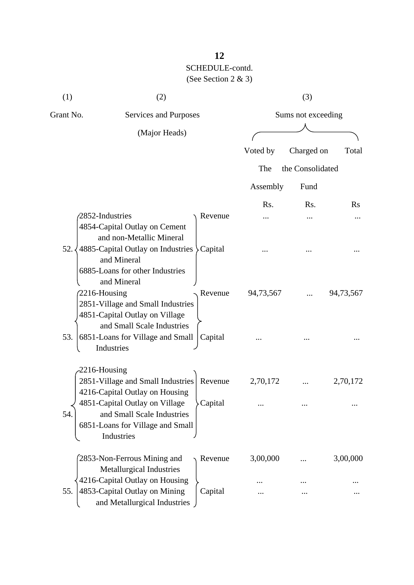| Grant No.<br>Services and Purposes<br>Sums not exceeding                        |           |
|---------------------------------------------------------------------------------|-----------|
|                                                                                 |           |
| (Major Heads)                                                                   |           |
| Voted by<br>Charged on                                                          | Total     |
| the Consolidated<br>The                                                         |           |
| Assembly<br>Fund                                                                |           |
| Rs.<br>Rs.                                                                      | Rs        |
| 2852-Industries<br>Revenue                                                      |           |
| 4854-Capital Outlay on Cement                                                   |           |
| and non-Metallic Mineral<br>52.<br>4885-Capital Outlay on Industries > Capital  |           |
| and Mineral                                                                     |           |
| 6885-Loans for other Industries                                                 |           |
| and Mineral                                                                     |           |
| 2216-Housing<br>Revenue<br>94,73,567<br>2851-Village and Small Industries       | 94,73,567 |
| 4851-Capital Outlay on Village                                                  |           |
| and Small Scale Industries                                                      |           |
| 53.<br>6851-Loans for Village and Small<br>Capital                              |           |
| Industries                                                                      |           |
| $-2216$ -Housing                                                                |           |
| 2851-Village and Small Industries<br>2,70,172<br>Revenue                        | 2,70,172  |
| 4216-Capital Outlay on Housing                                                  |           |
| 4851-Capital Outlay on Village<br>Capital                                       |           |
| and Small Scale Industries<br>54                                                |           |
| 6851-Loans for Village and Small<br>Industries                                  |           |
|                                                                                 |           |
| 3,00,000<br>2853-Non-Ferrous Mining and<br>Revenue                              | 3,00,000  |
| Metallurgical Industries                                                        |           |
| 4216-Capital Outlay on Housing                                                  |           |
| 4853-Capital Outlay on Mining<br>55.<br>Capital<br>and Metallurgical Industries |           |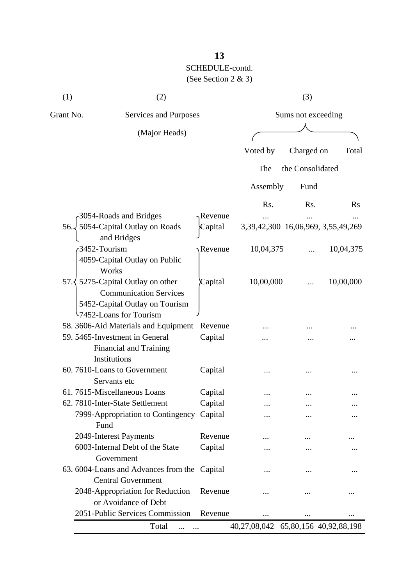| (1)       | (2)                                                                                                                                     |         |                                    | (3)              |                        |
|-----------|-----------------------------------------------------------------------------------------------------------------------------------------|---------|------------------------------------|------------------|------------------------|
| Grant No. | Services and Purposes                                                                                                                   |         | Sums not exceeding                 |                  |                        |
|           | (Major Heads)                                                                                                                           |         |                                    |                  |                        |
|           |                                                                                                                                         |         | Voted by                           | Charged on       | Total                  |
|           |                                                                                                                                         |         | The                                | the Consolidated |                        |
|           |                                                                                                                                         |         | Assembly                           | Fund             |                        |
|           |                                                                                                                                         |         | Rs.                                | Rs.              | $\rm Rs$               |
|           | 3054-Roads and Bridges                                                                                                                  | Revenue |                                    |                  |                        |
| 56.       | 5054-Capital Outlay on Roads<br>and Bridges                                                                                             | Capital | 3,39,42,300 16,06,969, 3,55,49,269 |                  |                        |
|           | 3452-Tourism<br>4059-Capital Outlay on Public<br>Works                                                                                  | Revenue | 10,04,375                          |                  | 10,04,375              |
|           | 57. $\langle$ 5275-Capital Outlay on other<br><b>Communication Services</b><br>5452-Capital Outlay on Tourism<br>7452-Loans for Tourism | Capital | 10,00,000                          |                  | 10,00,000              |
|           | 58. 3606-Aid Materials and Equipment                                                                                                    | Revenue |                                    |                  |                        |
|           | 59. 5465-Investment in General<br><b>Financial and Training</b><br>Institutions                                                         | Capital |                                    |                  |                        |
|           | 60.7610-Loans to Government<br>Servants etc                                                                                             | Capital |                                    |                  |                        |
|           | 61.7615-Miscellaneous Loans                                                                                                             | Capital |                                    |                  |                        |
|           | 62. 7810-Inter-State Settlement                                                                                                         | Capital |                                    |                  |                        |
|           | 7999-Appropriation to Contingency<br>Fund                                                                                               | Capital |                                    |                  |                        |
|           | 2049-Interest Payments                                                                                                                  | Revenue |                                    |                  |                        |
|           | 6003-Internal Debt of the State<br>Government                                                                                           | Capital |                                    |                  |                        |
|           | 63. 6004-Loans and Advances from the Capital<br><b>Central Government</b>                                                               |         |                                    |                  |                        |
|           | 2048-Appropriation for Reduction<br>or Avoidance of Debt                                                                                | Revenue | .                                  |                  |                        |
|           | 2051-Public Services Commission                                                                                                         | Revenue | .                                  |                  |                        |
|           | Total                                                                                                                                   |         | 40,27,08,042                       |                  | 65,80,156 40,92,88,198 |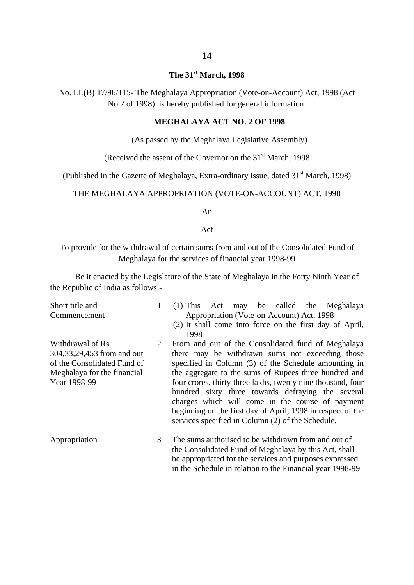#### **The 31st March, 1998**

No. LL(B) 17/96/115- The Meghalaya Appropriation (Vote-on-Account) Act, 1998 (Act No.2 of 1998) is hereby published for general information.

#### **MEGHALAYA ACT NO. 2 OF 1998**

(As passed by the Meghalaya Legislative Assembly)

(Received the assent of the Governor on the  $31<sup>st</sup>$  March, 1998)

(Published in the Gazette of Meghalaya, Extra-ordinary issue, dated  $31<sup>st</sup>$  March, 1998)

#### THE MEGHALAYA APPROPRIATION (VOTE-ON-ACCOUNT) ACT, 1998

An

#### Act

To provide for the withdrawal of certain sums from and out of the Consolidated Fund of Meghalaya for the services of financial year 1998-99

Be it enacted by the Legislature of the State of Meghalaya in the Forty Ninth Year of the Republic of India as follows:-

Short title and Commencement

Withdrawal of Rs.

Year 1998-99

- 1 (1) This Act may be called the Meghalaya Appropriation (Vote-on-Account) Act, 1998
	- (2) It shall come into force on the first day of April, 1998

304,33,29,453 from and out of the Consolidated Fund of Meghalaya for the financial  $\mathcal{D}$ From and out of the Consolidated fund of Meghalaya there may be withdrawn sums not exceeding those specified in Column (3) of the Schedule amounting in the aggregate to the sums of Rupees three hundred and four crores, thirty three lakhs, twenty nine thousand, four hundred sixty three towards defraying the several charges which will come in the course of payment beginning on the first day of April, 1998 in respect of the services specified in Column (2) of the Schedule.

Appropriation 3 The sums authorised to be withdrawn from and out of the Consolidated Fund of Meghalaya by this Act, shall be appropriated for the services and purposes expressed in the Schedule in relation to the Financial year 1998-99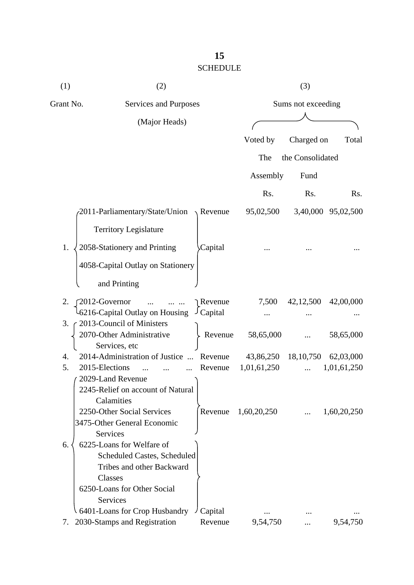### **15** SCHEDULE

| (1)       | (2)                                        |                     |             | (3)                |             |
|-----------|--------------------------------------------|---------------------|-------------|--------------------|-------------|
| Grant No. | Services and Purposes                      |                     |             | Sums not exceeding |             |
|           | (Major Heads)                              |                     |             |                    |             |
|           |                                            |                     | Voted by    | Charged on         | Total       |
|           |                                            |                     | The         | the Consolidated   |             |
|           |                                            |                     |             |                    |             |
|           |                                            |                     | Assembly    | Fund               |             |
|           |                                            |                     | Rs.         | Rs.                | Rs.         |
|           | 2011-Parliamentary/State/Union             | $\setminus$ Revenue | 95,02,500   | 3,40,000           | 95,02,500   |
|           | <b>Territory Legislature</b>               |                     |             |                    |             |
| 1.        | 2058-Stationery and Printing               | Capital             |             |                    |             |
|           | 4058-Capital Outlay on Stationery          |                     |             |                    |             |
|           | and Printing                               |                     |             |                    |             |
| 2.        | 2012-Governor<br>$\dddotsc$                | Revenue             | 7,500       | 42,12,500          | 42,00,000   |
|           | 6216-Capital Outlay on Housing             | $\cup$ Capital      |             |                    |             |
| 3.        | 2013-Council of Ministers                  |                     |             |                    |             |
|           | 2070-Other Administrative<br>Services, etc | Revenue             | 58,65,000   |                    | 58,65,000   |
| 4.        | 2014-Administration of Justice             | Revenue             | 43,86,250   | 18, 10, 750        | 62,03,000   |
| 5.        | 2015-Elections<br>$\dddotsc$               | Revenue             | 1,01,61,250 |                    | 1,01,61,250 |
|           | 2029-Land Revenue                          |                     |             |                    |             |
|           | 2245-Relief on account of Natural          |                     |             |                    |             |
|           | Calamities                                 |                     |             |                    |             |
|           | 2250-Other Social Services                 | Revenue             | 1,60,20,250 |                    | 1,60,20,250 |
|           | 3475-Other General Economic<br>Services    |                     |             |                    |             |
| 6.        | 6225-Loans for Welfare of                  |                     |             |                    |             |
|           | Scheduled Castes, Scheduled                |                     |             |                    |             |
|           | Tribes and other Backward                  |                     |             |                    |             |
|           | Classes                                    |                     |             |                    |             |
|           | 6250-Loans for Other Social                |                     |             |                    |             |
|           | Services                                   |                     |             |                    |             |
|           | 6401-Loans for Crop Husbandry              | Capital             |             |                    |             |
| 7.        | 2030-Stamps and Registration               | Revenue             | 9,54,750    |                    | 9,54,750    |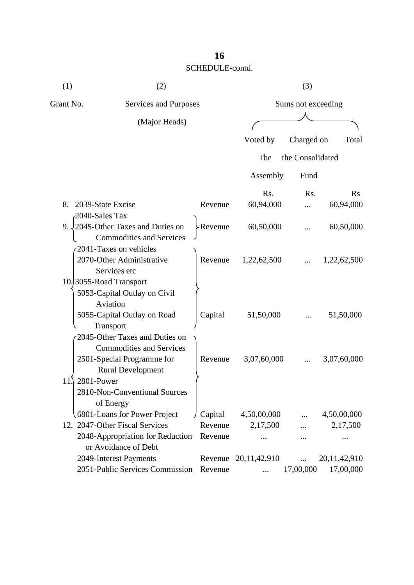## **16** SCHEDULE-contd.

| (1)                     | (2)                                                                            |         | (3)              |                    |                       |
|-------------------------|--------------------------------------------------------------------------------|---------|------------------|--------------------|-----------------------|
| Grant No.               | Services and Purposes                                                          |         |                  | Sums not exceeding |                       |
|                         | (Major Heads)                                                                  |         |                  |                    |                       |
|                         |                                                                                |         | Voted by         | Charged on         | Total                 |
|                         |                                                                                |         | The              | the Consolidated   |                       |
|                         |                                                                                |         | Assembly         | Fund               |                       |
|                         |                                                                                |         |                  |                    |                       |
| 2039-State Excise<br>8. |                                                                                | Revenue | Rs.<br>60,94,000 | R <sub>s</sub> .   | $\rm Rs$<br>60,94,000 |
| 2040-Sales Tax          |                                                                                |         |                  |                    |                       |
|                         | 9. $\sqrt{2045}$ -Other Taxes and Duties on<br><b>Commodities and Services</b> | Revenue | 60,50,000        |                    | 60,50,000             |
|                         | 2041-Taxes on vehicles<br>2070-Other Administrative<br>Services etc            | Revenue | 1,22,62,500      |                    | 1,22,62,500           |
| 10.3055-Road Transport  |                                                                                |         |                  |                    |                       |
|                         | 5053-Capital Outlay on Civil<br>Aviation                                       |         |                  |                    |                       |
|                         | 5055-Capital Outlay on Road                                                    | Capital | 51,50,000        |                    | 51,50,000             |
|                         | Transport<br>2045-Other Taxes and Duties on                                    |         |                  |                    |                       |
|                         | <b>Commodities and Services</b>                                                |         |                  |                    |                       |
|                         | 2501-Special Programme for<br><b>Rural Development</b>                         | Revenue | 3,07,60,000      |                    | 3,07,60,000           |
| 2801-Power<br>11        |                                                                                |         |                  |                    |                       |
|                         | 2810-Non-Conventional Sources<br>of Energy                                     |         |                  |                    |                       |
|                         | 6801-Loans for Power Project                                                   | Capital | 4,50,00,000      |                    | 4,50,00,000           |
|                         | 12. 2047-Other Fiscal Services                                                 | Revenue | 2,17,500         |                    | 2,17,500              |
|                         | 2048-Appropriation for Reduction<br>or Avoidance of Debt                       | Revenue |                  |                    | .                     |
|                         | 2049-Interest Payments                                                         | Revenue | 20, 11, 42, 910  |                    | 20, 11, 42, 910       |
|                         | 2051-Public Services Commission                                                | Revenue |                  | 17,00,000          | 17,00,000             |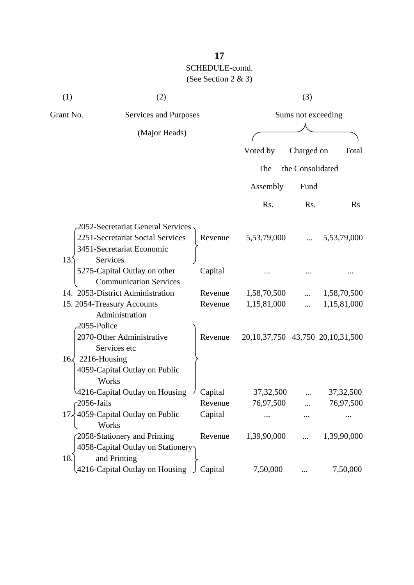| (1)                      | (2)                                       |         | (3)                                     |                  |             |
|--------------------------|-------------------------------------------|---------|-----------------------------------------|------------------|-------------|
| Grant No.                | Services and Purposes                     |         | Sums not exceeding                      |                  |             |
|                          | (Major Heads)                             |         |                                         |                  |             |
|                          |                                           |         | Voted by                                | Charged on       | Total       |
|                          |                                           |         | The                                     | the Consolidated |             |
|                          |                                           |         | Assembly                                | Fund             |             |
|                          |                                           |         | Rs.                                     | Rs.              | $\rm Rs$    |
|                          | 2052-Secretariat General Services -       |         |                                         |                  |             |
|                          | 2251-Secretariat Social Services          | Revenue | 5,53,79,000                             |                  | 5,53,79,000 |
|                          | 3451-Secretariat Economic                 |         |                                         |                  |             |
| 13 <sup>5</sup>          | Services                                  |         |                                         |                  |             |
|                          | 5275-Capital Outlay on other              | Capital |                                         |                  |             |
|                          | <b>Communication Services</b>             |         |                                         |                  |             |
|                          | 14. 2053-District Administration          | Revenue | 1,58,70,500                             |                  | 1,58,70,500 |
|                          | 15. 2054-Treasury Accounts                | Revenue | 1,15,81,000                             | $\cdots$         | 1,15,81,000 |
|                          | Administration                            |         |                                         |                  |             |
| 2055-Police              |                                           |         |                                         |                  |             |
|                          | 2070-Other Administrative<br>Services etc | Revenue | 20, 10, 37, 750 43, 750 20, 10, 31, 500 |                  |             |
| $16\sqrt{2216}$ -Housing |                                           |         |                                         |                  |             |
|                          | 4059-Capital Outlay on Public             |         |                                         |                  |             |
|                          | Works                                     |         |                                         |                  |             |
|                          | 4216-Capital Outlay on Housing            | Capital | 37, 32, 500                             |                  | 37, 32, 500 |
| 2056-Jails               |                                           | Revenue | 76,97,500                               |                  | 76,97,500   |
|                          | 17, 4059-Capital Outlay on Public         | Capital |                                         |                  |             |
|                          | Works                                     |         |                                         |                  |             |
|                          | 2058-Stationery and Printing              | Revenue | 1,39,90,000                             |                  | 1,39,90,000 |
|                          | 4058-Capital Outlay on Stationery         |         |                                         |                  |             |
| 18.                      | and Printing                              |         |                                         |                  |             |
|                          | 4216-Capital Outlay on Housing            | Capital | 7,50,000                                |                  | 7,50,000    |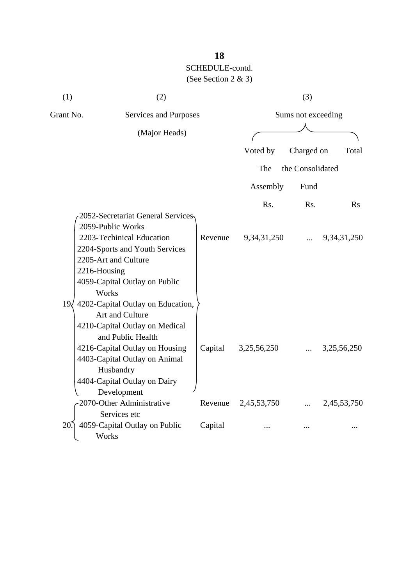| (1)       | (2)                                                                                                                                                           |         |                    | (3)              |                |
|-----------|---------------------------------------------------------------------------------------------------------------------------------------------------------------|---------|--------------------|------------------|----------------|
| Grant No. | Services and Purposes                                                                                                                                         |         | Sums not exceeding |                  |                |
|           | (Major Heads)                                                                                                                                                 |         |                    |                  |                |
|           |                                                                                                                                                               |         |                    |                  |                |
|           |                                                                                                                                                               |         | Voted by           | Charged on       | Total          |
|           |                                                                                                                                                               |         | The                | the Consolidated |                |
|           |                                                                                                                                                               |         | Assembly           | Fund             |                |
|           |                                                                                                                                                               |         | Rs.                | Rs.              | $\mathbf{R}$ s |
|           | 2052-Secretariat General Services<br>2059-Public Works<br>2203-Techinical Education<br>2204-Sports and Youth Services<br>2205-Art and Culture<br>2216-Housing | Revenue | 9, 34, 31, 250     |                  | 9, 34, 31, 250 |
|           | 4059-Capital Outlay on Public<br>Works<br>19 4202-Capital Outlay on Education,<br>Art and Culture<br>4210-Capital Outlay on Medical<br>and Public Health      |         |                    |                  |                |
|           | 4216-Capital Outlay on Housing<br>4403-Capital Outlay on Animal<br>Husbandry<br>4404-Capital Outlay on Dairy<br>Development                                   | Capital | 3,25,56,250        |                  | 3,25,56,250    |
|           | 2070-Other Administrative<br>Services etc                                                                                                                     | Revenue | 2,45,53,750        |                  | 2,45,53,750    |
| 20        | 4059-Capital Outlay on Public<br>Works                                                                                                                        | Capital |                    |                  |                |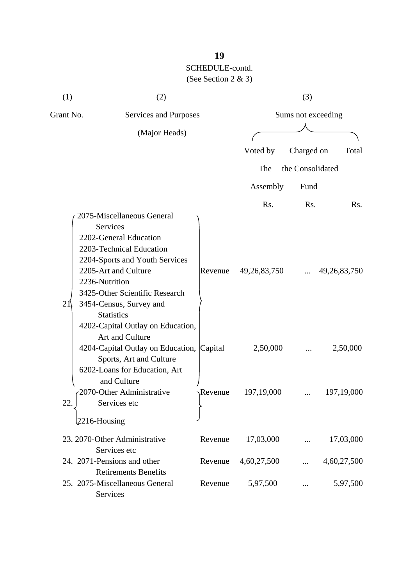| (1)                                | (2)                                                                                                                                                                                                                                                                                                                       |                    |                        | (3)              |                        |
|------------------------------------|---------------------------------------------------------------------------------------------------------------------------------------------------------------------------------------------------------------------------------------------------------------------------------------------------------------------------|--------------------|------------------------|------------------|------------------------|
| Grant No.<br>Services and Purposes |                                                                                                                                                                                                                                                                                                                           | Sums not exceeding |                        |                  |                        |
|                                    | (Major Heads)                                                                                                                                                                                                                                                                                                             |                    |                        |                  |                        |
|                                    |                                                                                                                                                                                                                                                                                                                           |                    | Voted by               | Charged on       | Total                  |
|                                    |                                                                                                                                                                                                                                                                                                                           |                    | The                    | the Consolidated |                        |
|                                    |                                                                                                                                                                                                                                                                                                                           |                    | Assembly               | Fund             |                        |
|                                    |                                                                                                                                                                                                                                                                                                                           |                    |                        |                  |                        |
| 21                                 | 2075-Miscellaneous General<br><b>Services</b><br>2202-General Education<br>2203-Technical Education<br>2204-Sports and Youth Services<br>2205-Art and Culture<br>2236-Nutrition<br>3425-Other Scientific Research<br>3454-Census, Survey and<br><b>Statistics</b><br>4202-Capital Outlay on Education,<br>Art and Culture | Revenue            | Rs.<br>49, 26, 83, 750 | Rs.              | Rs.<br>49, 26, 83, 750 |
|                                    | 4204-Capital Outlay on Education, Capital<br>Sports, Art and Culture<br>6202-Loans for Education, Art<br>and Culture                                                                                                                                                                                                      |                    | 2,50,000               |                  | 2,50,000               |
| 22.                                | 2070-Other Administrative<br>Services etc<br>$2216$ -Housing                                                                                                                                                                                                                                                              | Revenue            | 197, 19, 000           |                  | 197,19,000             |
|                                    | 23. 2070-Other Administrative<br>Services etc                                                                                                                                                                                                                                                                             | Revenue            | 17,03,000              |                  | 17,03,000              |
|                                    | 24. 2071-Pensions and other<br><b>Retirements Benefits</b>                                                                                                                                                                                                                                                                | Revenue            | 4,60,27,500            |                  | 4,60,27,500            |
|                                    | 25. 2075-Miscellaneous General<br>Services                                                                                                                                                                                                                                                                                | Revenue            | 5,97,500               |                  | 5,97,500               |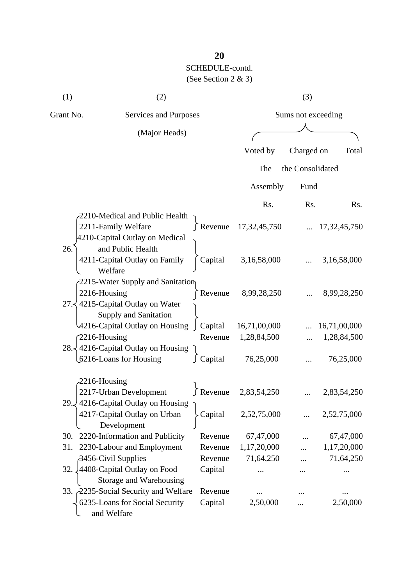| (1)              | (2)                                                                                     |                    | (3)                         |                  |                             |
|------------------|-----------------------------------------------------------------------------------------|--------------------|-----------------------------|------------------|-----------------------------|
| Grant No.        | Services and Purposes                                                                   |                    | Sums not exceeding          |                  |                             |
|                  | (Major Heads)                                                                           |                    |                             |                  |                             |
|                  |                                                                                         |                    | Voted by                    | Charged on       | Total                       |
|                  |                                                                                         |                    | The                         | the Consolidated |                             |
|                  |                                                                                         |                    | Assembly                    | Fund             |                             |
|                  |                                                                                         |                    | Rs.                         | Rs.              | R <sub>s</sub> .            |
|                  | 2210-Medical and Public Health<br>2211-Family Welfare<br>4210-Capital Outlay on Medical |                    | Revenue $17,32,45,750$      |                  | 17, 32, 45, 750             |
| 26.              | and Public Health<br>4211-Capital Outlay on Family<br>Welfare                           | Capital            | 3,16,58,000                 |                  | 3,16,58,000                 |
| 2216-Housing     | 2215-Water Supply and Sanitation<br>27. $\langle$ 4215-Capital Outlay on Water          | Revenue            | 8,99,28,250                 |                  | 8,99,28,250                 |
| 2216-Housing     | Supply and Sanitation<br>4216-Capital Outlay on Housing                                 | Capital<br>Revenue | 16,71,00,000<br>1,28,84,500 |                  | 16,71,00,000<br>1,28,84,500 |
|                  | 28. $\frac{1}{2}$ 4216-Capital Outlay on Housing<br>6216-Loans for Housing              | Capital            | 76,25,000                   |                  | 76,25,000                   |
| $-2216$ -Housing | 2217-Urban Development                                                                  | ∫ Revenue          | 2,83,54,250                 |                  | 2,83,54,250                 |
|                  | 29. √4216-Capital Outlay on Housing<br>4217-Capital Outlay on Urban<br>Development      | Capital            | 2,52,75,000                 |                  | 2,52,75,000                 |
| 30.              | 2220-Information and Publicity                                                          | Revenue            | 67,47,000                   |                  | 67,47,000                   |
| 31.              | 2230-Labour and Employment                                                              | Revenue            | 1,17,20,000                 |                  | 1,17,20,000                 |
|                  | 3456-Civil Supplies                                                                     | Revenue            | 71,64,250                   |                  | 71,64,250                   |
| 32.              | 4408-Capital Outlay on Food<br>Storage and Warehousing                                  | Capital            |                             |                  |                             |
|                  | 33. 2235-Social Security and Welfare                                                    | Revenue            |                             |                  |                             |
|                  | 6235-Loans for Social Security<br>and Welfare                                           | Capital            | 2,50,000                    |                  | 2,50,000                    |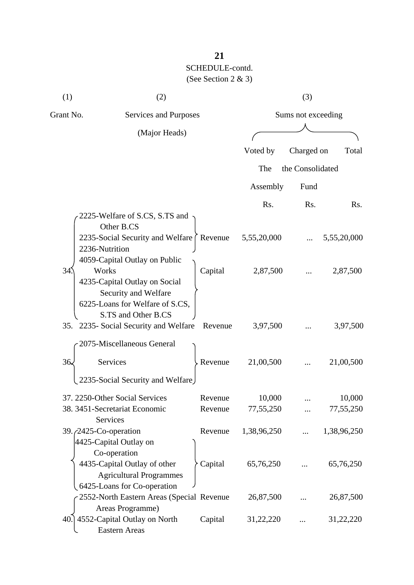| (1)       | (2)                                                                                                                      |         |                    | (3)              |             |  |
|-----------|--------------------------------------------------------------------------------------------------------------------------|---------|--------------------|------------------|-------------|--|
| Grant No. | Services and Purposes                                                                                                    |         | Sums not exceeding |                  |             |  |
|           | (Major Heads)                                                                                                            |         |                    |                  |             |  |
|           |                                                                                                                          |         | Voted by           | Charged on       | Total       |  |
|           |                                                                                                                          |         | The                | the Consolidated |             |  |
|           |                                                                                                                          |         |                    |                  |             |  |
|           |                                                                                                                          |         | Assembly           | Fund             |             |  |
|           |                                                                                                                          |         | Rs.                | Rs.              | Rs.         |  |
|           | 2225-Welfare of S.CS, S.TS and<br>Other B.CS                                                                             |         |                    |                  |             |  |
|           | 2235-Social Security and Welfare<br>2236-Nutrition<br>4059-Capital Outlay on Public                                      | Revenue | 5,55,20,000        |                  | 5,55,20,000 |  |
| 34        | Works<br>4235-Capital Outlay on Social<br>Security and Welfare<br>6225-Loans for Welfare of S.CS,<br>S.TS and Other B.CS | Capital | 2,87,500           |                  | 2,87,500    |  |
|           | 35. 2235- Social Security and Welfare                                                                                    | Revenue | 3,97,500           |                  | 3,97,500    |  |
|           | 2075-Miscellaneous General                                                                                               |         |                    |                  |             |  |
| 36.       | Services                                                                                                                 | Revenue | 21,00,500          |                  | 21,00,500   |  |
|           | 2235-Social Security and Welfare                                                                                         |         |                    |                  |             |  |
|           | 37. 2250-Other Social Services                                                                                           | Revenue | 10,000             |                  | 10,000      |  |
|           | 38. 3451-Secretariat Economic<br>Services                                                                                | Revenue | 77,55,250          |                  | 77,55,250   |  |
|           | 39. $\sqrt{2425}$ -Co-operation<br>4425-Capital Outlay on<br>Co-operation                                                | Revenue | 1,38,96,250        |                  | 1,38,96,250 |  |
|           | 4435-Capital Outlay of other<br><b>Agricultural Programmes</b><br>6425-Loans for Co-operation                            | Capital | 65,76,250          |                  | 65,76,250   |  |
|           | 2552-North Eastern Areas (Special Revenue<br>Areas Programme)                                                            |         | 26,87,500          |                  | 26,87,500   |  |
|           | 40.] 4552-Capital Outlay on North<br><b>Eastern Areas</b>                                                                | Capital | 31,22,220          |                  | 31,22,220   |  |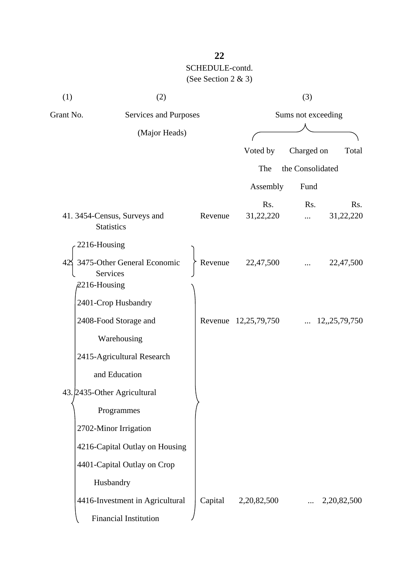| (1)                                | (2)                                                        |                    |                      | (3)              |                 |
|------------------------------------|------------------------------------------------------------|--------------------|----------------------|------------------|-----------------|
| Grant No.<br>Services and Purposes |                                                            | Sums not exceeding |                      |                  |                 |
|                                    | (Major Heads)                                              |                    |                      |                  |                 |
|                                    |                                                            |                    | Voted by             | Charged on       | Total           |
|                                    |                                                            |                    | The                  | the Consolidated |                 |
|                                    |                                                            |                    | Assembly             | Fund             |                 |
|                                    |                                                            |                    | Rs.                  | Rs.              | Rs.             |
|                                    | 41. 3454-Census, Surveys and<br><b>Statistics</b>          | Revenue            | 31,22,220            |                  | 31,22,220       |
|                                    | 2216-Housing                                               |                    |                      |                  |                 |
| 42                                 | 3475-Other General Economic<br>Services<br>$2216$ -Housing | Revenue            | 22,47,500            |                  | 22,47,500       |
|                                    | 2401-Crop Husbandry                                        |                    |                      |                  |                 |
|                                    | 2408-Food Storage and                                      |                    | Revenue 12,25,79,750 |                  | 12, 25, 79, 750 |
|                                    | Warehousing                                                |                    |                      |                  |                 |
|                                    | 2415-Agricultural Research                                 |                    |                      |                  |                 |
|                                    | and Education                                              |                    |                      |                  |                 |
|                                    | 43. 2435-Other Agricultural                                |                    |                      |                  |                 |
|                                    | Programmes                                                 |                    |                      |                  |                 |
|                                    | 2702-Minor Irrigation                                      |                    |                      |                  |                 |
|                                    | 4216-Capital Outlay on Housing                             |                    |                      |                  |                 |
|                                    | 4401-Capital Outlay on Crop                                |                    |                      |                  |                 |
|                                    | Husbandry                                                  |                    |                      |                  |                 |
|                                    | 4416-Investment in Agricultural                            | Capital            | 2,20,82,500          |                  | 2,20,82,500     |
|                                    | Financial Institution                                      |                    |                      |                  |                 |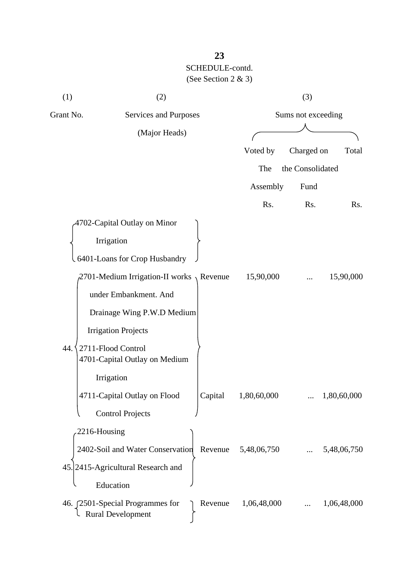| (1)       | (2)                                                                     |             | (3)                |             |  |
|-----------|-------------------------------------------------------------------------|-------------|--------------------|-------------|--|
| Grant No. | Services and Purposes                                                   |             | Sums not exceeding |             |  |
|           | (Major Heads)                                                           |             |                    |             |  |
|           |                                                                         | Voted by    | Charged on         | Total       |  |
|           |                                                                         | The         | the Consolidated   |             |  |
|           |                                                                         | Assembly    | Fund               |             |  |
|           |                                                                         | Rs.         | Rs.                | Rs.         |  |
|           | 4702-Capital Outlay on Minor                                            |             |                    |             |  |
|           | Irrigation                                                              |             |                    |             |  |
|           | 6401-Loans for Crop Husbandry                                           |             |                    |             |  |
|           | 2701-Medium Irrigation-II works $\sqrt{ }$ Revenue                      | 15,90,000   |                    | 15,90,000   |  |
|           | under Embankment. And                                                   |             |                    |             |  |
|           | Drainage Wing P.W.D Medium                                              |             |                    |             |  |
|           | <b>Irrigation Projects</b>                                              |             |                    |             |  |
| 44.       | 2711-Flood Control<br>4701-Capital Outlay on Medium                     |             |                    |             |  |
|           | Irrigation                                                              |             |                    |             |  |
|           | 4711-Capital Outlay on Flood<br>Capital                                 | 1,80,60,000 |                    | 1,80,60,000 |  |
|           | <b>Control Projects</b>                                                 |             |                    |             |  |
|           | 2216-Housing                                                            |             |                    |             |  |
|           | 2402-Soil and Water Conservation<br>Revenue                             | 5,48,06,750 |                    | 5,48,06,750 |  |
|           | 45. 2415-Agricultural Research and                                      |             |                    |             |  |
|           | Education                                                               |             |                    |             |  |
|           | 46. [2501-Special Programmes for<br>Revenue<br><b>Rural Development</b> | 1,06,48,000 |                    | 1,06,48,000 |  |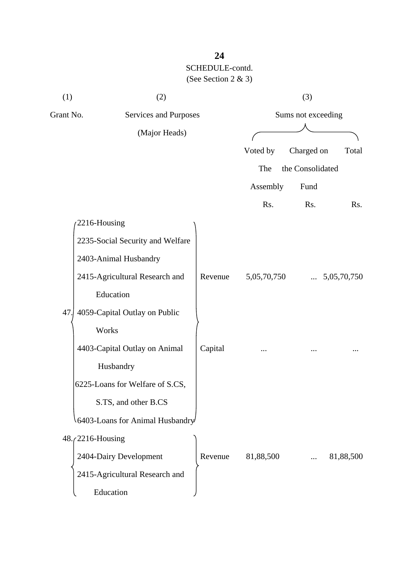| (1)       | (2)                              |         |             | (3)                |             |
|-----------|----------------------------------|---------|-------------|--------------------|-------------|
| Grant No. | <b>Services and Purposes</b>     |         |             | Sums not exceeding |             |
|           | (Major Heads)                    |         |             |                    |             |
|           |                                  |         | Voted by    | Charged on         | Total       |
|           |                                  |         | The         | the Consolidated   |             |
|           |                                  |         | Assembly    | Fund               |             |
|           |                                  |         | Rs.         | Rs.                | Rs.         |
|           | 2216-Housing                     |         |             |                    |             |
|           | 2235-Social Security and Welfare |         |             |                    |             |
|           | 2403-Animal Husbandry            |         |             |                    |             |
|           | 2415-Agricultural Research and   | Revenue | 5,05,70,750 |                    | 5,05,70,750 |
|           | Education                        |         |             |                    |             |
| 47.       | 4059-Capital Outlay on Public    |         |             |                    |             |
|           | Works                            |         |             |                    |             |
|           | 4403-Capital Outlay on Animal    | Capital |             |                    |             |
|           | Husbandry                        |         |             |                    |             |
|           | 6225-Loans for Welfare of S.CS,  |         |             |                    |             |
|           | S.TS, and other B.CS             |         |             |                    |             |
|           | 6403-Loans for Animal Husbandry  |         |             |                    |             |
|           | 48. (2216-Housing                |         |             |                    |             |
|           | 2404-Dairy Development           | Revenue | 81,88,500   |                    | 81,88,500   |
|           | 2415-Agricultural Research and   |         |             |                    |             |
|           | Education                        |         |             |                    |             |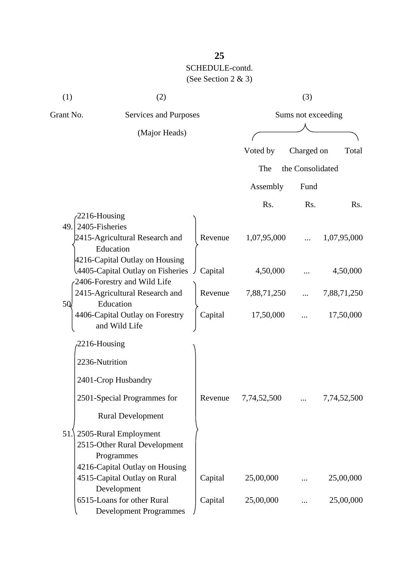| (1)       | (2)                                                                                                   |         |                    | (3)              |             |
|-----------|-------------------------------------------------------------------------------------------------------|---------|--------------------|------------------|-------------|
| Grant No. | Services and Purposes                                                                                 |         | Sums not exceeding |                  |             |
|           | (Major Heads)                                                                                         |         |                    |                  |             |
|           |                                                                                                       |         | Voted by           | Charged on       | Total       |
|           |                                                                                                       |         | The                | the Consolidated |             |
|           |                                                                                                       |         | Assembly           | Fund             |             |
|           |                                                                                                       |         | Rs.                | Rs.              | Rs.         |
| 49.       | 2216-Housing<br>2405-Fisheries<br>2415-Agricultural Research and<br>Education                         | Revenue | 1,07,95,000        |                  | 1,07,95,000 |
|           | 4216-Capital Outlay on Housing<br>4405-Capital Outlay on Fisheries<br>2406-Forestry and Wild Life     | Capital | 4,50,000           |                  | 4,50,000    |
|           | 2415-Agricultural Research and                                                                        | Revenue | 7,88,71,250        |                  | 7,88,71,250 |
| 5Q.       | Education<br>4406-Capital Outlay on Forestry<br>and Wild Life                                         | Capital | 17,50,000          |                  | 17,50,000   |
|           | 2216-Housing                                                                                          |         |                    |                  |             |
|           | 2236-Nutrition                                                                                        |         |                    |                  |             |
|           | 2401-Crop Husbandry                                                                                   |         |                    |                  |             |
|           | 2501-Special Programmes for                                                                           | Revenue | 7,74,52,500        |                  | 7,74,52,500 |
|           | <b>Rural Development</b>                                                                              |         |                    |                  |             |
| 51.       | 2505-Rural Employment<br>2515-Other Rural Development<br>Programmes<br>4216-Capital Outlay on Housing |         |                    |                  |             |
|           | 4515-Capital Outlay on Rural                                                                          | Capital | 25,00,000          |                  | 25,00,000   |
|           | Development<br>6515-Loans for other Rural<br><b>Development Programmes</b>                            | Capital | 25,00,000          |                  | 25,00,000   |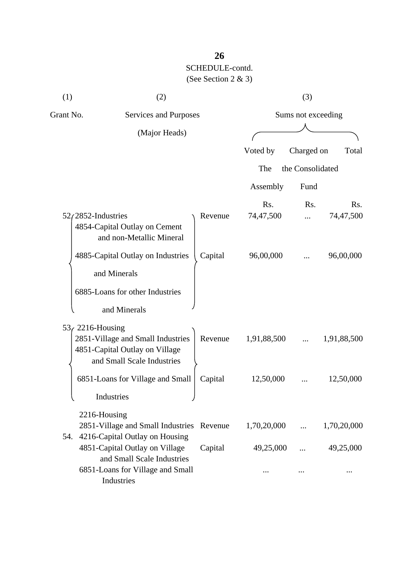| (1)                   | (2)                                                                                                            |         |                               | (3)                |                  |
|-----------------------|----------------------------------------------------------------------------------------------------------------|---------|-------------------------------|--------------------|------------------|
| Grant No.             | Services and Purposes                                                                                          |         |                               | Sums not exceeding |                  |
|                       | (Major Heads)                                                                                                  |         |                               |                    |                  |
|                       |                                                                                                                |         | Voted by                      | Charged on         | Total            |
|                       |                                                                                                                |         | The                           | the Consolidated   |                  |
|                       |                                                                                                                |         | Assembly                      | Fund               |                  |
| $52/2852$ -Industries | 4854-Capital Outlay on Cement<br>and non-Metallic Mineral                                                      | Revenue | R <sub>s</sub> .<br>74,47,500 | Rs.                | Rs.<br>74,47,500 |
|                       | 4885-Capital Outlay on Industries<br>and Minerals<br>6885-Loans for other Industries<br>and Minerals           | Capital | 96,00,000                     |                    | 96,00,000        |
| $536$ 2216-Housing    | 2851-Village and Small Industries<br>4851-Capital Outlay on Village<br>and Small Scale Industries              | Revenue | 1,91,88,500                   |                    | 1,91,88,500      |
|                       | 6851-Loans for Village and Small<br>Industries                                                                 | Capital | 12,50,000                     |                    | 12,50,000        |
| 2216-Housing          | 2851-Village and Small Industries Revenue<br>54. 4216-Capital Outlay on Housing                                |         | 1,70,20,000                   |                    | 1,70,20,000      |
|                       | 4851-Capital Outlay on Village<br>and Small Scale Industries<br>6851-Loans for Village and Small<br>Industries | Capital | 49,25,000                     |                    | 49,25,000        |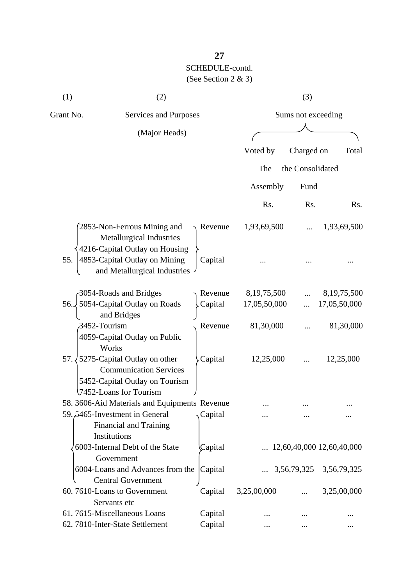| (1)          | (2)                                                                                                                       |         |                | (3)                |                                    |
|--------------|---------------------------------------------------------------------------------------------------------------------------|---------|----------------|--------------------|------------------------------------|
| Grant No.    | Services and Purposes                                                                                                     |         |                | Sums not exceeding |                                    |
|              | (Major Heads)                                                                                                             |         |                |                    |                                    |
|              |                                                                                                                           |         | Voted by       | Charged on         | Total                              |
|              |                                                                                                                           |         |                |                    |                                    |
|              |                                                                                                                           |         | The            | the Consolidated   |                                    |
|              |                                                                                                                           |         | Assembly       | Fund               |                                    |
|              |                                                                                                                           |         | Rs.            | Rs.                | Rs.                                |
|              | 2853-Non-Ferrous Mining and<br><b>Metallurgical Industries</b>                                                            | Revenue | 1,93,69,500    |                    | 1,93,69,500                        |
| 55.          | 4216-Capital Outlay on Housing<br>4853-Capital Outlay on Mining<br>and Metallurgical Industries                           | Capital |                |                    |                                    |
|              | 3054-Roads and Bridges                                                                                                    | Revenue | 8, 19, 75, 500 |                    | 8, 19, 75, 500                     |
| 56.          | 5054-Capital Outlay on Roads<br>and Bridges                                                                               | Capital | 17,05,50,000   |                    | 17,05,50,000                       |
| 3452-Tourism | 4059-Capital Outlay on Public<br>Works                                                                                    | Revenue | 81,30,000      |                    | 81,30,000                          |
| 57.          | 5275-Capital Outlay on other<br><b>Communication Services</b><br>5452-Capital Outlay on Tourism<br>7452-Loans for Tourism | Capital | 12,25,000      |                    | 12,25,000                          |
|              | 58. 3606-Aid Materials and Equipments Revenue                                                                             |         |                |                    |                                    |
|              | 59.5465-Investment in General<br><b>Financial and Training</b><br>Institutions                                            | Capital |                |                    |                                    |
|              | 6003-Internal Debt of the State<br>Government                                                                             | Capital |                |                    | $\ldots$ 12,60,40,000 12,60,40,000 |
|              | 6004-Loans and Advances from the<br><b>Central Government</b>                                                             | Capital |                |                    | $\ldots$ 3,56,79,325 3,56,79,325   |
|              | 60.7610-Loans to Government<br>Servants etc                                                                               | Capital | 3,25,00,000    |                    | 3,25,00,000                        |
|              | 61.7615-Miscellaneous Loans                                                                                               | Capital |                |                    |                                    |
|              | 62. 7810-Inter-State Settlement                                                                                           | Capital |                |                    |                                    |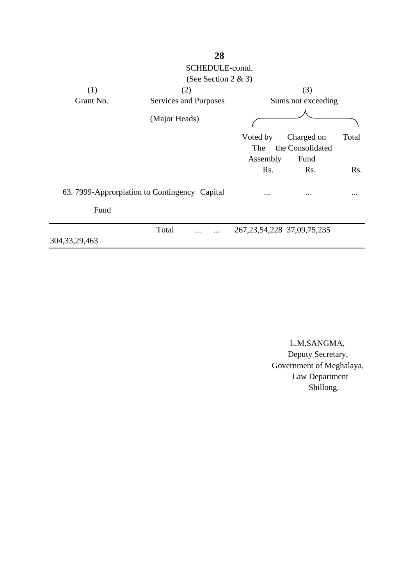|                  | 28                                            |                                  |                                |       |
|------------------|-----------------------------------------------|----------------------------------|--------------------------------|-------|
|                  | SCHEDULE-contd.                               |                                  |                                |       |
|                  | (See Section 2 $\&$ 3)                        |                                  |                                |       |
| (1)              | (2)                                           |                                  | (3)                            |       |
| Grant No.        | Services and Purposes                         |                                  | Sums not exceeding             |       |
|                  | (Major Heads)                                 |                                  |                                |       |
|                  |                                               | Voted by<br>The                  | Charged on<br>the Consolidated | Total |
|                  |                                               | Assembly                         | Fund                           |       |
|                  |                                               | R <sub>s</sub> .                 | Rs.                            | Rs.   |
|                  | 63. 7999-Approrpiation to Contingency Capital | $\cdots$                         | $\ddotsc$                      |       |
| Fund             |                                               |                                  |                                |       |
| 304, 33, 29, 463 | Total                                         | 267, 23, 54, 228 37, 09, 75, 235 |                                |       |

 L.M.SANGMA, Deputy Secretary, Government of Meghalaya, Law Department **Shillong.**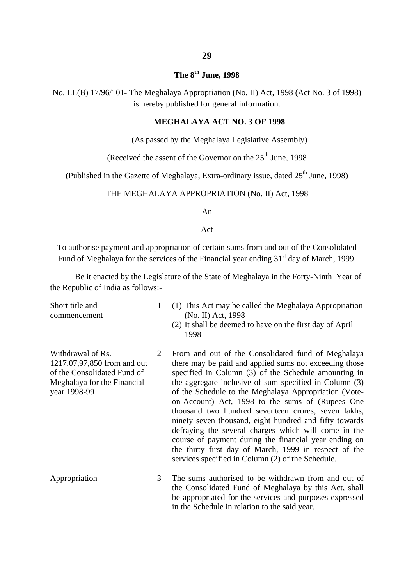#### **29**

#### **The 8th June, 1998**

No. LL(B) 17/96/101- The Meghalaya Appropriation (No. II) Act, 1998 (Act No. 3 of 1998) is hereby published for general information.

#### **MEGHALAYA ACT NO. 3 OF 1998**

(As passed by the Meghalaya Legislative Assembly)

(Received the assent of the Governor on the  $25<sup>th</sup>$  June, 1998

(Published in the Gazette of Meghalaya, Extra-ordinary issue, dated  $25<sup>th</sup>$  June, 1998)

#### THE MEGHALAYA APPROPRIATION (No. II) Act, 1998

An

#### Act

To authorise payment and appropriation of certain sums from and out of the Consolidated Fund of Meghalaya for the services of the Financial year ending  $31<sup>st</sup>$  day of March, 1999.

Be it enacted by the Legislature of the State of Meghalaya in the Forty-Ninth Year of the Republic of India as follows:-

Short title and commencement

- 1 (1) This Act may be called the Meghalaya Appropriation (No. II) Act, 1998
	- (2) It shall be deemed to have on the first day of April 1998
- Withdrawal of Rs. 1217,07,97,850 from and out of the Consolidated Fund of Meghalaya for the Financial year 1998-99 2
- From and out of the Consolidated fund of Meghalaya there may be paid and applied sums not exceeding those specified in Column (3) of the Schedule amounting in the aggregate inclusive of sum specified in Column (3) of the Schedule to the Meghalaya Appropriation (Voteon-Account) Act, 1998 to the sums of (Rupees One thousand two hundred seventeen crores, seven lakhs, ninety seven thousand, eight hundred and fifty towards defraying the several charges which will come in the course of payment during the financial year ending on the thirty first day of March, 1999 in respect of the services specified in Column (2) of the Schedule.
- Appropriation 3 The sums authorised to be withdrawn from and out of the Consolidated Fund of Meghalaya by this Act, shall be appropriated for the services and purposes expressed in the Schedule in relation to the said year.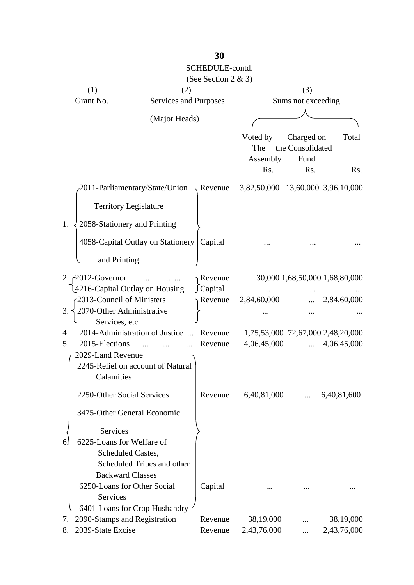|                                                              |                                      | SCHEDULE-contd.<br>(See Section 2 & 3) |                                   |                    |                                   |
|--------------------------------------------------------------|--------------------------------------|----------------------------------------|-----------------------------------|--------------------|-----------------------------------|
| (1)                                                          | (2)                                  |                                        |                                   | (3)                |                                   |
| Grant No.                                                    | Services and Purposes                |                                        |                                   | Sums not exceeding |                                   |
|                                                              | (Major Heads)                        |                                        |                                   |                    |                                   |
|                                                              |                                      |                                        |                                   |                    |                                   |
|                                                              |                                      |                                        | Voted by                          | Charged on         | Total                             |
|                                                              |                                      |                                        | The                               | the Consolidated   |                                   |
|                                                              |                                      |                                        | Assembly                          | Fund               |                                   |
|                                                              |                                      |                                        | Rs.                               | Rs.                | Rs.                               |
|                                                              | -2011-Parliamentary/State/Union      | $\sqrt{ }$ Revenue                     | 3,82,50,000 13,60,000 3,96,10,000 |                    |                                   |
| <b>Territory Legislature</b>                                 |                                      |                                        |                                   |                    |                                   |
| 1.<br>2058-Stationery and Printing                           |                                      |                                        |                                   |                    |                                   |
|                                                              | 4058-Capital Outlay on Stationery    | Capital                                |                                   |                    |                                   |
| and Printing                                                 |                                      |                                        |                                   |                    |                                   |
| 2. $\curvearrowright$ 2012-Governor                          |                                      | Revenue                                |                                   |                    | 30,000 1,68,50,000 1,68,80,000    |
| 4216-Capital Outlay on Housing                               |                                      | $\int$ Capital                         |                                   |                    |                                   |
| 2013-Council of Ministers<br>2070-Other Administrative<br>3. |                                      | Revenue                                | 2,84,60,000                       |                    | 2,84,60,000                       |
| Services, etc                                                |                                      |                                        |                                   |                    |                                   |
| 4.                                                           | 2014-Administration of Justice       | Revenue                                |                                   |                    | 1,75,53,000 72,67,000 2,48,20,000 |
| 5.<br>2015-Elections                                         | $\overline{\phantom{a}}$<br>$\cdots$ | Revenue                                | 4,06,45,000                       | $\cdots$           | 4,06,45,000                       |
| 2029-Land Revenue                                            |                                      |                                        |                                   |                    |                                   |
|                                                              | 2245-Relief on account of Natural    |                                        |                                   |                    |                                   |
| Calamities                                                   |                                      |                                        |                                   |                    |                                   |
| 2250-Other Social Services                                   |                                      | Revenue                                | 6,40,81,000                       |                    | 6,40,81,600                       |
| 3475-Other General Economic                                  |                                      |                                        |                                   |                    |                                   |
| <b>Services</b>                                              |                                      |                                        |                                   |                    |                                   |
| 6225-Loans for Welfare of<br>6.                              |                                      |                                        |                                   |                    |                                   |
| Scheduled Castes,                                            |                                      |                                        |                                   |                    |                                   |
|                                                              | Scheduled Tribes and other           |                                        |                                   |                    |                                   |
| <b>Backward Classes</b>                                      |                                      |                                        |                                   |                    |                                   |
| 6250-Loans for Other Social                                  |                                      | Capital                                |                                   |                    |                                   |
| <b>Services</b>                                              |                                      |                                        |                                   |                    |                                   |
| 2090-Stamps and Registration<br>7.                           | 6401-Loans for Crop Husbandry        | Revenue                                | 38,19,000                         |                    | 38,19,000                         |
| 2039-State Excise<br>8.                                      |                                      | Revenue                                | 2,43,76,000                       |                    | 2,43,76,000                       |
|                                                              |                                      |                                        |                                   |                    |                                   |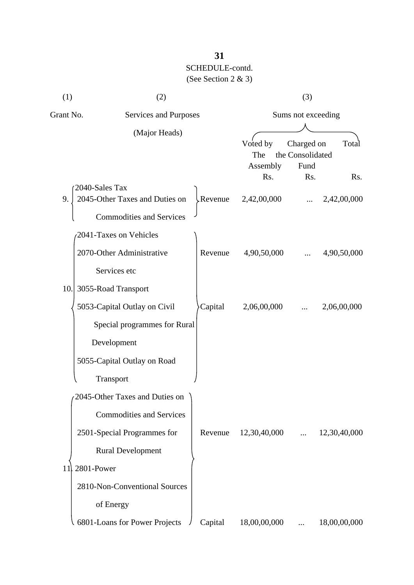| (1)       | (2)                                    |         |                             | (3)                                             |              |
|-----------|----------------------------------------|---------|-----------------------------|-------------------------------------------------|--------------|
| Grant No. | Services and Purposes<br>(Major Heads) |         | Sums not exceeding          |                                                 |              |
|           |                                        |         | Voted by<br>The<br>Assembly | Charged on<br>Total<br>the Consolidated<br>Fund |              |
|           | 2040-Sales Tax                         |         | Rs.                         | Rs.                                             | Rs.          |
| 9.        | 2045-Other Taxes and Duties on         | Revenue | 2,42,00,000                 |                                                 | 2,42,00,000  |
|           | <b>Commodities and Services</b>        |         |                             |                                                 |              |
|           | 2041-Taxes on Vehicles                 |         |                             |                                                 |              |
|           | 2070-Other Administrative              | Revenue | 4,90,50,000                 |                                                 | 4,90,50,000  |
|           | Services etc                           |         |                             |                                                 |              |
| 10.       | 3055-Road Transport                    |         |                             |                                                 |              |
|           | 5053-Capital Outlay on Civil           | Capital | 2,06,00,000                 |                                                 | 2,06,00,000  |
|           | Special programmes for Rural           |         |                             |                                                 |              |
|           | Development                            |         |                             |                                                 |              |
|           | 5055-Capital Outlay on Road            |         |                             |                                                 |              |
|           | Transport                              |         |                             |                                                 |              |
|           | 2045-Other Taxes and Duties on         |         |                             |                                                 |              |
|           | <b>Commodities and Services</b>        |         |                             |                                                 |              |
|           | 2501-Special Programmes for            | Revenue | 12,30,40,000                | $\cdots$                                        | 12,30,40,000 |
|           | <b>Rural Development</b>               |         |                             |                                                 |              |
| 11        | 2801-Power                             |         |                             |                                                 |              |
|           | 2810-Non-Conventional Sources          |         |                             |                                                 |              |
|           | of Energy                              |         |                             |                                                 |              |
|           | 6801-Loans for Power Projects          | Capital | 18,00,00,000                |                                                 | 18,00,00,000 |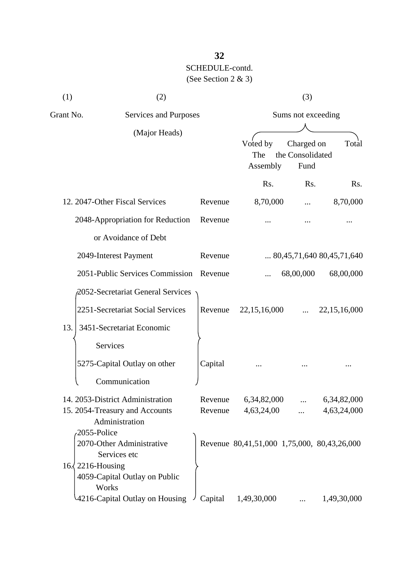| (1)                      | (2)                                              |         |                                             | (3)                                    |                                    |  |
|--------------------------|--------------------------------------------------|---------|---------------------------------------------|----------------------------------------|------------------------------------|--|
| Grant No.                | Services and Purposes<br>(Major Heads)           |         |                                             | Sums not exceeding                     |                                    |  |
|                          |                                                  |         | Voted by<br>The<br>Assembly                 | Charged on<br>the Consolidated<br>Fund | Total                              |  |
|                          |                                                  |         | Rs.                                         | Rs.                                    | Rs.                                |  |
|                          | 12. 2047-Other Fiscal Services                   | Revenue | 8,70,000                                    |                                        | 8,70,000                           |  |
|                          | 2048-Appropriation for Reduction                 | Revenue |                                             |                                        |                                    |  |
|                          | or Avoidance of Debt                             |         |                                             |                                        |                                    |  |
|                          | 2049-Interest Payment                            | Revenue |                                             |                                        | $\ldots$ 80,45,71,640 80,45,71,640 |  |
|                          | 2051-Public Services Commission                  | Revenue |                                             | 68,00,000                              | 68,00,000                          |  |
|                          | 2052-Secretariat General Services                |         |                                             |                                        |                                    |  |
|                          | 2251-Secretariat Social Services                 | Revenue | 22, 15, 16, 000                             |                                        | 22, 15, 16, 000                    |  |
| 13.                      | 3451-Secretariat Economic                        |         |                                             |                                        |                                    |  |
|                          | Services                                         |         |                                             |                                        |                                    |  |
|                          | 5275-Capital Outlay on other                     | Capital |                                             |                                        |                                    |  |
|                          | Communication                                    |         |                                             |                                        |                                    |  |
|                          | 14. 2053-District Administration                 | Revenue | 6,34,82,000                                 | .                                      | 6,34,82,000                        |  |
|                          | 15. 2054-Treasury and Accounts<br>Administration | Revenue | 4,63,24,00                                  |                                        | 4,63,24,000                        |  |
| 2055-Police              |                                                  |         |                                             |                                        |                                    |  |
|                          | 2070-Other Administrative<br>Services etc        |         | Revenue 80,41,51,000 1,75,000, 80,43,26,000 |                                        |                                    |  |
| $16\sqrt{2216}$ -Housing |                                                  |         |                                             |                                        |                                    |  |
|                          | 4059-Capital Outlay on Public                    |         |                                             |                                        |                                    |  |
| Works                    | 4216-Capital Outlay on Housing                   | Capital | 1,49,30,000                                 |                                        | 1,49,30,000                        |  |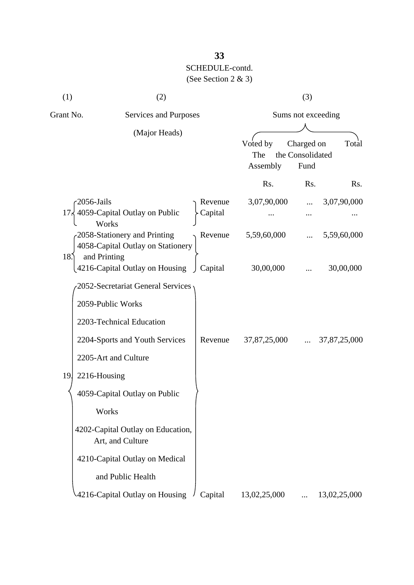| (1)       | (2)                                                                                |                    |                             | (3)                                    |              |
|-----------|------------------------------------------------------------------------------------|--------------------|-----------------------------|----------------------------------------|--------------|
| Grant No. | Services and Purposes                                                              |                    | Sums not exceeding          |                                        |              |
|           | (Major Heads)                                                                      |                    | Voted by<br>The<br>Assembly | Charged on<br>the Consolidated<br>Fund | Total        |
|           |                                                                                    |                    | Rs.                         | Rs.                                    | Rs.          |
| 17:       | 2056-Jails<br>4059-Capital Outlay on Public<br>Works                               | Revenue<br>Capital | 3,07,90,000                 |                                        | 3,07,90,000  |
| 18.       | -2058-Stationery and Printing<br>4058-Capital Outlay on Stationery<br>and Printing | Revenue            | 5,59,60,000                 |                                        | 5,59,60,000  |
|           | 4216-Capital Outlay on Housing                                                     | Capital            | 30,00,000                   |                                        | 30,00,000    |
|           | 2052-Secretariat General Services                                                  |                    |                             |                                        |              |
|           | 2059-Public Works                                                                  |                    |                             |                                        |              |
|           | 2203-Technical Education                                                           |                    |                             |                                        |              |
|           | 2204-Sports and Youth Services                                                     | Revenue            | 37,87,25,000                |                                        | 37,87,25,000 |
|           | 2205-Art and Culture                                                               |                    |                             |                                        |              |
| 19.       | 2216-Housing                                                                       |                    |                             |                                        |              |
|           | 4059-Capital Outlay on Public                                                      |                    |                             |                                        |              |
|           | Works                                                                              |                    |                             |                                        |              |
|           | 4202-Capital Outlay on Education,<br>Art, and Culture                              |                    |                             |                                        |              |
|           | 4210-Capital Outlay on Medical                                                     |                    |                             |                                        |              |
|           | and Public Health                                                                  |                    |                             |                                        |              |
|           | 4216-Capital Outlay on Housing                                                     | Capital            | 13,02,25,000                |                                        | 13,02,25,000 |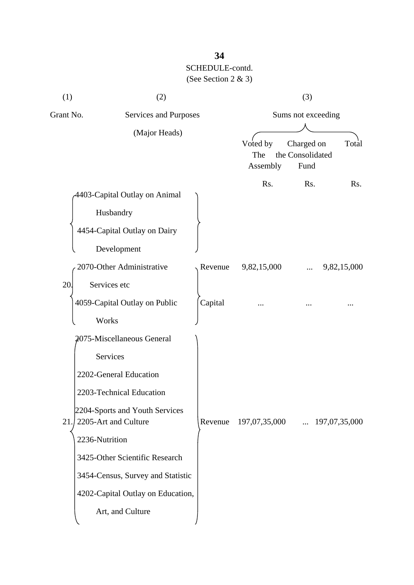| (1)                   | (2)                                                                                                                                                                                                                                                                                    |         |                             | (3)                                    |               |
|-----------------------|----------------------------------------------------------------------------------------------------------------------------------------------------------------------------------------------------------------------------------------------------------------------------------------|---------|-----------------------------|----------------------------------------|---------------|
| Grant No.             | Services and Purposes                                                                                                                                                                                                                                                                  |         |                             | Sums not exceeding                     |               |
|                       | (Major Heads)                                                                                                                                                                                                                                                                          |         | Voted by<br>The<br>Assembly | Charged on<br>the Consolidated<br>Fund | Total         |
|                       | 4403-Capital Outlay on Animal<br>Husbandry<br>4454-Capital Outlay on Dairy<br>Development                                                                                                                                                                                              |         | Rs.                         | Rs.                                    | Rs.           |
|                       | 2070-Other Administrative                                                                                                                                                                                                                                                              | Revenue | 9,82,15,000                 |                                        | 9,82,15,000   |
| 20.                   | Services etc<br>4059-Capital Outlay on Public<br>Works                                                                                                                                                                                                                                 | Capital |                             |                                        |               |
| 21.<br>2236-Nutrition | 2075-Miscellaneous General<br>Services<br>2202-General Education<br>2203-Technical Education<br>2204-Sports and Youth Services<br>2205-Art and Culture<br>3425-Other Scientific Research<br>3454-Census, Survey and Statistic<br>4202-Capital Outlay on Education,<br>Art, and Culture | Revenue | 197,07,35,000               | $\dddotsc$                             | 197,07,35,000 |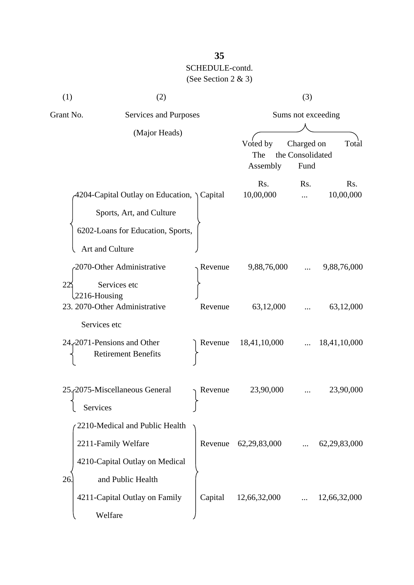| (1)                | (2)                                                                                                                           |         |                             | (3)                                    |                  |
|--------------------|-------------------------------------------------------------------------------------------------------------------------------|---------|-----------------------------|----------------------------------------|------------------|
| Grant No.          | Services and Purposes                                                                                                         |         |                             | Sums not exceeding                     |                  |
|                    | (Major Heads)                                                                                                                 |         | Voted by<br>The<br>Assembly | Charged on<br>the Consolidated<br>Fund | Total            |
|                    | 4204-Capital Outlay on Education, Capital<br>Sports, Art, and Culture<br>6202-Loans for Education, Sports,<br>Art and Culture |         | Rs.<br>10,00,000            | Rs.                                    | Rs.<br>10,00,000 |
|                    | 2070-Other Administrative                                                                                                     | Revenue | 9,88,76,000                 |                                        | 9,88,76,000      |
| 22<br>2216-Housing | Services etc<br>23. 2070-Other Administrative                                                                                 | Revenue | 63,12,000                   |                                        | 63,12,000        |
| Services etc       | 24, 2071 Pensions and Other<br><b>Retirement Benefits</b>                                                                     | Revenue | 18,41,10,000                |                                        | 18,41,10,000     |
| Services           | 25. 2075-Miscellaneous General                                                                                                | Revenue | 23,90,000                   |                                        | 23,90,000        |
|                    | 2210-Medical and Public Health<br>2211-Family Welfare<br>4210-Capital Outlay on Medical                                       | Revenue | 62,29,83,000                |                                        | 62, 29, 83, 000  |
| 26.                | and Public Health<br>4211-Capital Outlay on Family<br>Welfare                                                                 | Capital | 12,66,32,000                |                                        | 12,66,32,000     |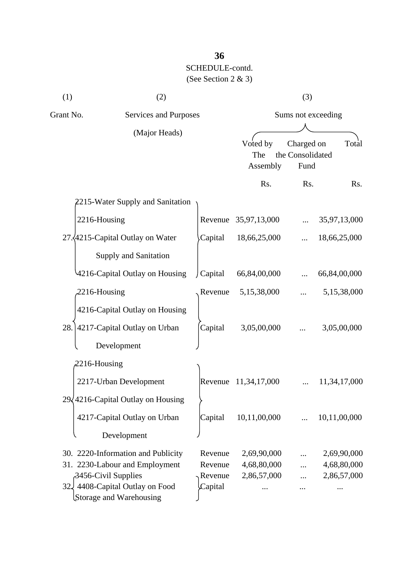| (1)          | (2)                                                                              |                    |                             | (3)                                    |                            |
|--------------|----------------------------------------------------------------------------------|--------------------|-----------------------------|----------------------------------------|----------------------------|
| Grant No.    | Services and Purposes                                                            |                    | Sums not exceeding          |                                        |                            |
|              | (Major Heads)                                                                    |                    | Voted by<br>The<br>Assembly | Charged on<br>the Consolidated<br>Fund | Total                      |
|              |                                                                                  |                    | Rs.                         | Rs.                                    | Rs.                        |
|              | 2215-Water Supply and Sanitation                                                 |                    |                             |                                        |                            |
| 2216-Housing |                                                                                  |                    | Revenue 35,97,13,000        |                                        | 35,97,13,000               |
|              | 27. 4215-Capital Outlay on Water                                                 | Capital            | 18,66,25,000                |                                        | 18,66,25,000               |
|              | <b>Supply and Sanitation</b>                                                     |                    |                             |                                        |                            |
|              | 4216-Capital Outlay on Housing                                                   | Capital            | 66,84,00,000                |                                        | 66,84,00,000               |
| 2216-Housing |                                                                                  | Revenue            | 5,15,38,000                 |                                        | 5,15,38,000                |
|              | 4216-Capital Outlay on Housing                                                   |                    |                             |                                        |                            |
| 28.          | 4217-Capital Outlay on Urban                                                     | Capital            | 3,05,00,000                 |                                        | 3,05,00,000                |
|              | Development                                                                      |                    |                             |                                        |                            |
| 2216-Housing |                                                                                  |                    |                             |                                        |                            |
|              | 2217-Urban Development                                                           | Revenue            | 11,34,17,000                |                                        | 11,34,17,000               |
|              | $29\sqrt{4216}$ -Capital Outlay on Housing                                       |                    |                             |                                        |                            |
|              | 4217-Capital Outlay on Urban                                                     | Capital            | 10,11,00,000                |                                        | 10,11,00,000               |
|              | Development                                                                      |                    |                             |                                        |                            |
|              |                                                                                  |                    |                             |                                        |                            |
|              | 30. 2220-Information and Publicity                                               | Revenue            | 2,69,90,000                 |                                        | 2,69,90,000                |
|              | 31. 2230-Labour and Employment                                                   | Revenue<br>Revenue | 4,68,80,000<br>2,86,57,000  |                                        | 4,68,80,000<br>2,86,57,000 |
|              | 3456-Civil Supplies<br>32 4408-Capital Outlay on Food<br>Storage and Warehousing | Capital            |                             |                                        |                            |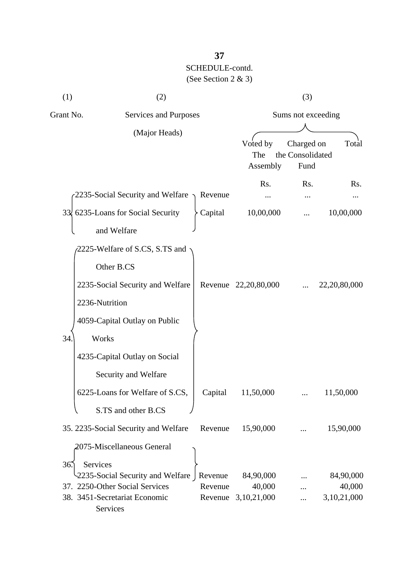| (1)            | (2)                                               |         | (3)                         |                                        |              |
|----------------|---------------------------------------------------|---------|-----------------------------|----------------------------------------|--------------|
| Grant No.      | Services and Purposes<br>(Major Heads)            |         | Sums not exceeding          |                                        |              |
|                |                                                   |         | Voted by<br>The<br>Assembly | Charged on<br>the Consolidated<br>Fund | Total        |
|                |                                                   |         | Rs.                         | R <sub>s</sub> .                       | Rs.          |
|                | 2235-Social Security and Welfare $\gamma$ Revenue |         |                             |                                        |              |
|                | 33 6235-Loans for Social Security                 | Capital | 10,00,000                   |                                        | 10,00,000    |
|                | and Welfare                                       |         |                             |                                        |              |
|                | 2225-Welfare of S.CS, S.TS and<br>Other B.CS      |         |                             |                                        |              |
|                | 2235-Social Security and Welfare                  |         | Revenue 22,20,80,000        |                                        | 22,20,80,000 |
| 2236-Nutrition |                                                   |         |                             |                                        |              |
|                | 4059-Capital Outlay on Public                     |         |                             |                                        |              |
| 34.<br>Works   |                                                   |         |                             |                                        |              |
|                | 4235-Capital Outlay on Social                     |         |                             |                                        |              |
|                | Security and Welfare                              |         |                             |                                        |              |
|                | 6225-Loans for Welfare of S.CS,                   | Capital | 11,50,000                   |                                        | 11,50,000    |
|                | S.TS and other B.CS                               |         |                             |                                        |              |
|                | 35. 2235-Social Security and Welfare              | Revenue | 15,90,000                   |                                        | 15,90,000    |
|                | 2075-Miscellaneous General                        |         |                             |                                        |              |
| 36<br>Services |                                                   |         |                             |                                        |              |
|                | 2235-Social Security and Welfare   Revenue        |         | 84,90,000                   |                                        | 84,90,000    |
|                | 37. 2250-Other Social Services                    | Revenue | 40,000                      |                                        | 40,000       |
|                | 38. 3451-Secretariat Economic<br>Services         | Revenue | 3,10,21,000                 |                                        | 3,10,21,000  |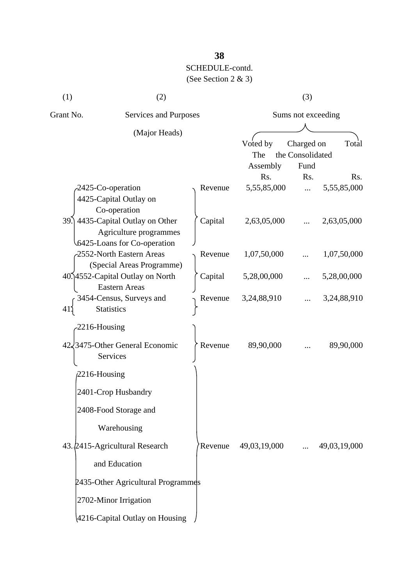| (1)       | (2)                                                                                       |         | (3)                         |                                        |              |  |
|-----------|-------------------------------------------------------------------------------------------|---------|-----------------------------|----------------------------------------|--------------|--|
| Grant No. | Services and Purposes                                                                     |         | Sums not exceeding          |                                        |              |  |
|           | (Major Heads)                                                                             |         | Voted by<br>The<br>Assembly | Charged on<br>the Consolidated<br>Fund | Total        |  |
|           |                                                                                           |         | Rs.                         | Rs.                                    | Rs.          |  |
|           | -2425-Co-operation<br>4425-Capital Outlay on<br>Co-operation                              | Revenue | 5,55,85,000                 | $\dddotsc$                             | 5,55,85,000  |  |
|           | 39. 4435-Capital Outlay on Other<br>Agriculture programmes<br>6425-Loans for Co-operation | Capital | 2,63,05,000                 |                                        | 2,63,05,000  |  |
|           | -2552-North Eastern Areas<br>(Special Areas Programme)                                    | Revenue | 1,07,50,000                 |                                        | 1,07,50,000  |  |
|           | 40.14552-Capital Outlay on North<br><b>Eastern Areas</b>                                  | Capital | 5,28,00,000                 |                                        | 5,28,00,000  |  |
| 41        | 3454-Census, Surveys and<br><b>Statistics</b>                                             | Revenue | 3,24,88,910                 |                                        | 3,24,88,910  |  |
|           | 2216-Housing                                                                              |         |                             |                                        |              |  |
|           | 42/3475-Other General Economic<br>Services                                                | Revenue | 89,90,000                   |                                        | 89,90,000    |  |
|           | $2216$ -Housing                                                                           |         |                             |                                        |              |  |
|           | 2401-Crop Husbandry                                                                       |         |                             |                                        |              |  |
|           | 2408-Food Storage and                                                                     |         |                             |                                        |              |  |
|           | Warehousing                                                                               |         |                             |                                        |              |  |
|           | 43.2415-Agricultural Research                                                             | Revenue | 49,03,19,000                | $\cdots$                               | 49,03,19,000 |  |
|           | and Education                                                                             |         |                             |                                        |              |  |
|           | 2435-Other Agricultural Programmes                                                        |         |                             |                                        |              |  |
|           | 2702-Minor Irrigation                                                                     |         |                             |                                        |              |  |
|           | 4216-Capital Outlay on Housing                                                            |         |                             |                                        |              |  |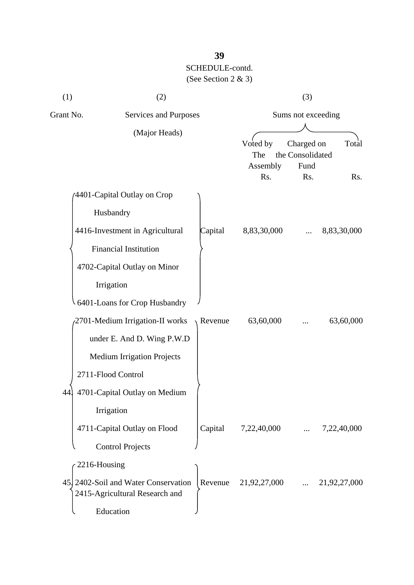| (1)          | (2)                                                                                 |         | (3)                                |                                               |              |
|--------------|-------------------------------------------------------------------------------------|---------|------------------------------------|-----------------------------------------------|--------------|
| Grant No.    | Services and Purposes                                                               |         | Sums not exceeding                 |                                               |              |
|              | (Major Heads)                                                                       |         | Voted by<br>The<br>Assembly<br>Rs. | Charged on<br>the Consolidated<br>Fund<br>Rs. | Total<br>Rs. |
|              | 4401-Capital Outlay on Crop                                                         |         |                                    |                                               |              |
|              | Husbandry                                                                           |         |                                    |                                               |              |
|              | 4416-Investment in Agricultural                                                     | Capital | 8,83,30,000                        |                                               | 8,83,30,000  |
|              | <b>Financial Institution</b>                                                        |         |                                    |                                               |              |
|              | 4702-Capital Outlay on Minor                                                        |         |                                    |                                               |              |
|              | Irrigation                                                                          |         |                                    |                                               |              |
|              | 6401-Loans for Crop Husbandry                                                       |         |                                    |                                               |              |
|              | 2701-Medium Irrigation-II works                                                     | Revenue | 63,60,000                          |                                               | 63,60,000    |
|              | under E. And D. Wing P.W.D                                                          |         |                                    |                                               |              |
|              | <b>Medium Irrigation Projects</b>                                                   |         |                                    |                                               |              |
|              | 2711-Flood Control                                                                  |         |                                    |                                               |              |
| 44           | 4701-Capital Outlay on Medium                                                       |         |                                    |                                               |              |
|              | Irrigation                                                                          |         |                                    |                                               |              |
|              | 4711-Capital Outlay on Flood                                                        | Capital | 7,22,40,000                        |                                               | 7,22,40,000  |
|              | <b>Control Projects</b>                                                             |         |                                    |                                               |              |
| 2216-Housing |                                                                                     |         |                                    |                                               |              |
|              | 45. 2402-Soil and Water Conservation<br>2415-Agricultural Research and<br>Education | Revenue | 21,92,27,000                       |                                               | 21,92,27,000 |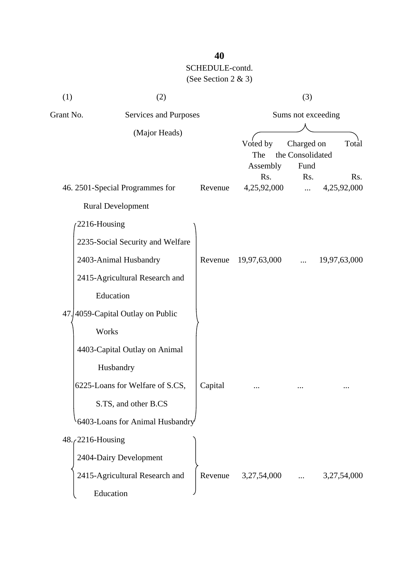| (1)                 | (2)                               |         | (3)                         |                                        |                    |
|---------------------|-----------------------------------|---------|-----------------------------|----------------------------------------|--------------------|
| Grant No.           | Services and Purposes             |         | Sums not exceeding          |                                        |                    |
|                     | (Major Heads)                     |         | Voted by<br>The<br>Assembly | Charged on<br>the Consolidated<br>Fund | Total              |
|                     | 46. 2501-Special Programmes for   | Revenue | Rs.<br>4,25,92,000          | Rs.<br>$\cdots$                        | Rs.<br>4,25,92,000 |
|                     | <b>Rural Development</b>          |         |                             |                                        |                    |
| 2216-Housing        |                                   |         |                             |                                        |                    |
|                     | 2235-Social Security and Welfare  |         |                             |                                        |                    |
|                     | 2403-Animal Husbandry             | Revenue | 19,97,63,000                | $\ddotsc$                              | 19,97,63,000       |
|                     | 2415-Agricultural Research and    |         |                             |                                        |                    |
|                     | Education                         |         |                             |                                        |                    |
|                     | 47. 4059-Capital Outlay on Public |         |                             |                                        |                    |
|                     | Works                             |         |                             |                                        |                    |
|                     | 4403-Capital Outlay on Animal     |         |                             |                                        |                    |
|                     | Husbandry                         |         |                             |                                        |                    |
|                     | 6225-Loans for Welfare of S.CS,   | Capital |                             |                                        |                    |
|                     | S.TS, and other B.CS              |         |                             |                                        |                    |
|                     | 6403-Loans for Animal Husbandry   |         |                             |                                        |                    |
| $48.72216$ -Housing |                                   |         |                             |                                        |                    |
|                     | 2404-Dairy Development            |         |                             |                                        |                    |
|                     | 2415-Agricultural Research and    | Revenue | 3,27,54,000                 |                                        | 3,27,54,000        |
|                     | Education                         |         |                             |                                        |                    |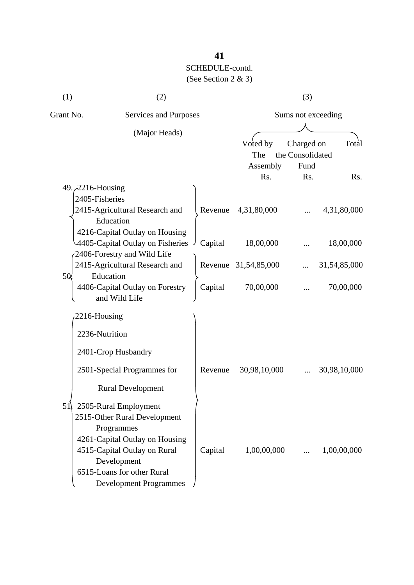| (1)                       | (2)                                                                                                        |         | (3)                          |                                |              |
|---------------------------|------------------------------------------------------------------------------------------------------------|---------|------------------------------|--------------------------------|--------------|
| Grant No.                 | Services and Purposes<br>(Major Heads)                                                                     |         | Sums not exceeding           |                                |              |
|                           |                                                                                                            |         | Voted by<br>The              | Charged on<br>the Consolidated | Total        |
|                           |                                                                                                            |         | Assembly<br>R <sub>s</sub> . | Fund<br>Rs.                    | Rs.          |
| 49. $\angle$ 2216-Housing |                                                                                                            |         |                              |                                |              |
| 2405-Fisheries            | 2415-Agricultural Research and<br>Education                                                                | Revenue | 4,31,80,000                  |                                | 4,31,80,000  |
|                           | 4216-Capital Outlay on Housing<br>4405-Capital Outlay on Fisheries<br>2406-Forestry and Wild Life          | Capital | 18,00,000                    |                                | 18,00,000    |
|                           | 2415-Agricultural Research and                                                                             |         | Revenue 31,54,85,000         |                                | 31,54,85,000 |
| 50 <sub>l</sub>           | Education<br>4406-Capital Outlay on Forestry<br>and Wild Life                                              | Capital | 70,00,000                    |                                | 70,00,000    |
| 2216-Housing              |                                                                                                            |         |                              |                                |              |
| 2236-Nutrition            |                                                                                                            |         |                              |                                |              |
|                           | 2401-Crop Husbandry                                                                                        |         |                              |                                |              |
|                           | 2501-Special Programmes for                                                                                | Revenue | 30,98,10,000                 |                                | 30,98,10,000 |
|                           | <b>Rural Development</b>                                                                                   |         |                              |                                |              |
| 51                        | 2505-Rural Employment<br>2515-Other Rural Development<br>Programmes<br>4261-Capital Outlay on Housing      |         |                              |                                |              |
|                           | 4515-Capital Outlay on Rural<br>Development<br>6515-Loans for other Rural<br><b>Development Programmes</b> | Capital | 1,00,00,000                  | $\cdots$                       | 1,00,00,000  |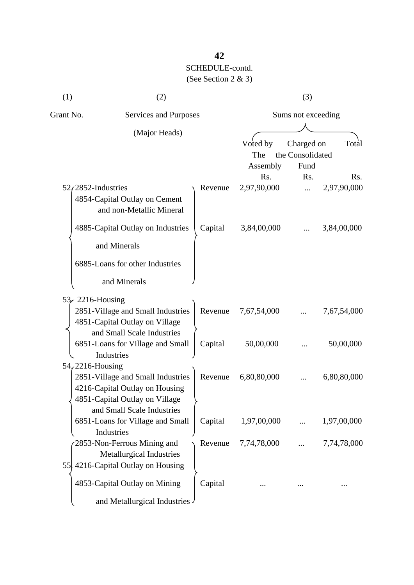| (1)                   | (2)                                                                                                                                 |         | (3)                         |                                        |                                 |  |
|-----------------------|-------------------------------------------------------------------------------------------------------------------------------------|---------|-----------------------------|----------------------------------------|---------------------------------|--|
| Grant No.             | <b>Services and Purposes</b>                                                                                                        |         | Sums not exceeding          |                                        |                                 |  |
|                       | (Major Heads)                                                                                                                       |         | Voted by<br>The<br>Assembly | Charged on<br>the Consolidated<br>Fund | Total                           |  |
| $52/2852$ -Industries | 4854-Capital Outlay on Cement<br>and non-Metallic Mineral                                                                           | Revenue | Rs.<br>2,97,90,000          | Rs.<br>                                | R <sub>s</sub> .<br>2,97,90,000 |  |
|                       | 4885-Capital Outlay on Industries<br>and Minerals<br>6885-Loans for other Industries<br>and Minerals                                | Capital | 3,84,00,000                 |                                        | 3,84,00,000                     |  |
| 53. 2216-Housing      | 2851-Village and Small Industries<br>4851-Capital Outlay on Village<br>and Small Scale Industries                                   | Revenue | 7,67,54,000                 |                                        | 7,67,54,000                     |  |
|                       | 6851-Loans for Village and Small<br>Industries                                                                                      | Capital | 50,00,000                   |                                        | 50,00,000                       |  |
| $54,2216$ -Housing    | 2851-Village and Small Industries<br>4216-Capital Outlay on Housing<br>4851-Capital Outlay on Village<br>and Small Scale Industries | Revenue | 6,80,80,000                 |                                        | 6,80,80,000                     |  |
|                       | 6851-Loans for Village and Small<br>Industries                                                                                      | Capital | 1,97,00,000                 |                                        | 1,97,00,000                     |  |
|                       | 2853-Non-Ferrous Mining and<br><b>Metallurgical Industries</b><br>55 4216-Capital Outlay on Housing                                 | Revenue | 7,74,78,000                 |                                        | 7,74,78,000                     |  |
|                       | 4853-Capital Outlay on Mining<br>and Metallurgical Industries                                                                       | Capital |                             |                                        |                                 |  |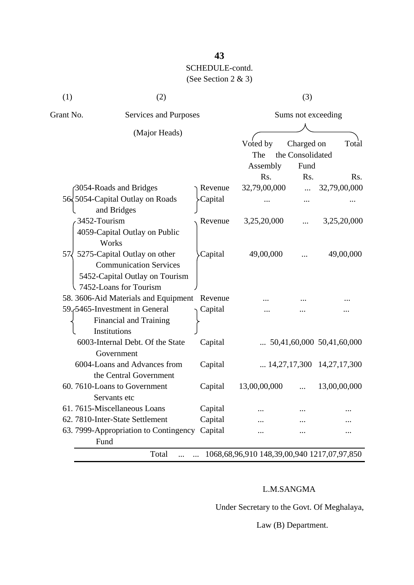# **43** SCHEDULE-contd.

### (See Section 2 & 3)

| (1)          | (2)                                                                                                                       |         |                                                      | (3)                |                                    |
|--------------|---------------------------------------------------------------------------------------------------------------------------|---------|------------------------------------------------------|--------------------|------------------------------------|
| Grant No.    | Services and Purposes                                                                                                     |         |                                                      | Sums not exceeding |                                    |
|              | (Major Heads)                                                                                                             |         | Voted by                                             | Charged on         | Total                              |
|              |                                                                                                                           |         | The                                                  | the Consolidated   |                                    |
|              |                                                                                                                           |         | Assembly                                             | Fund               |                                    |
|              |                                                                                                                           |         | Rs.                                                  | Rs.                | Rs.                                |
|              | 3054-Roads and Bridges                                                                                                    | Revenue | 32,79,00,000                                         |                    | 32,79,00,000                       |
|              | 56, 5054-Capital Outlay on Roads<br>and Bridges                                                                           | Capital |                                                      |                    |                                    |
| 3452-Tourism | 4059-Capital Outlay on Public<br>Works                                                                                    | Revenue | 3,25,20,000                                          |                    | 3,25,20,000                        |
| 57 <i>L</i>  | 5275-Capital Outlay on other<br><b>Communication Services</b><br>5452-Capital Outlay on Tourism<br>7452-Loans for Tourism | Capital | 49,00,000                                            |                    | 49,00,000                          |
|              | 58. 3606-Aid Materials and Equipment Revenue                                                                              |         |                                                      |                    |                                    |
|              | 59.5465-Investment in General<br>Financial and Training<br>Institutions                                                   | Capital |                                                      |                    |                                    |
|              | 6003-Internal Debt. Of the State<br>Government                                                                            | Capital |                                                      |                    | $\ldots$ 50,41,60,000 50,41,60,000 |
|              | 6004-Loans and Advances from<br>the Central Government                                                                    | Capital |                                                      |                    | $\ldots$ 14,27,17,300 14,27,17,300 |
|              | 60.7610-Loans to Government<br>Servants etc                                                                               | Capital | 13,00,00,000                                         | $\cdots$           | 13,00,00,000                       |
|              | 61.7615-Miscellaneous Loans                                                                                               | Capital |                                                      |                    |                                    |
|              | 62. 7810-Inter-State Settlement                                                                                           | Capital |                                                      |                    |                                    |
|              | 63. 7999-Appropriation to Contingency<br>Fund                                                                             | Capital |                                                      |                    |                                    |
|              | Total                                                                                                                     |         | 1068, 68, 96, 910 148, 39, 00, 940 1217, 07, 97, 850 |                    |                                    |

#### L.M.SANGMA

Under Secretary to the Govt. Of Meghalaya,

Law (B) Department.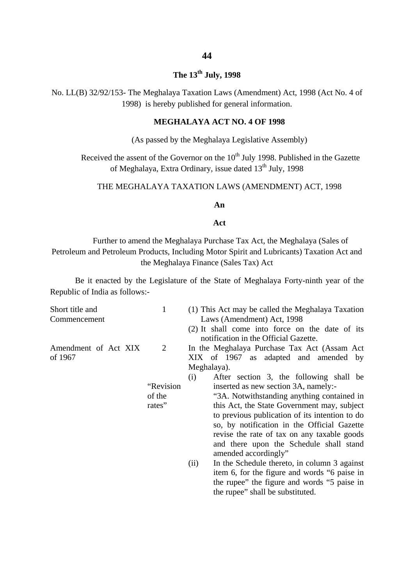#### **The 13th July, 1998**

No. LL(B) 32/92/153- The Meghalaya Taxation Laws (Amendment) Act, 1998 (Act No. 4 of 1998) is hereby published for general information.

#### **MEGHALAYA ACT NO. 4 OF 1998**

(As passed by the Meghalaya Legislative Assembly)

Received the assent of the Governor on the 10<sup>th</sup> July 1998. Published in the Gazette of Meghalaya, Extra Ordinary, issue dated 13<sup>th</sup> July, 1998

#### THE MEGHALAYA TAXATION LAWS (AMENDMENT) ACT, 1998

#### **An**

#### **Act**

Further to amend the Meghalaya Purchase Tax Act, the Meghalaya (Sales of Petroleum and Petroleum Products, Including Motor Spirit and Lubricants) Taxation Act and the Meghalaya Finance (Sales Tax) Act

Be it enacted by the Legislature of the State of Meghalaya Forty-ninth year of the Republic of India as follows:-

| Short title and<br>Commencement | 1                                   | (1) This Act may be called the Meghalaya Taxation<br>Laws (Amendment) Act, 1998<br>(2) It shall come into force on the date of its                                                                                                                                                                                                                                                                                                                                                                                                                                                                                                                                                                              |
|---------------------------------|-------------------------------------|-----------------------------------------------------------------------------------------------------------------------------------------------------------------------------------------------------------------------------------------------------------------------------------------------------------------------------------------------------------------------------------------------------------------------------------------------------------------------------------------------------------------------------------------------------------------------------------------------------------------------------------------------------------------------------------------------------------------|
| Amendment of Act XIX<br>of 1967 | 2<br>"Revision"<br>of the<br>rates" | notification in the Official Gazette.<br>In the Meghalaya Purchase Tax Act (Assam Act)<br>XIX of 1967 as adapted and amended by<br>Meghalaya).<br>(i)<br>After section 3, the following shall be<br>inserted as new section 3A, namely:-<br>"3A. Notwithstanding anything contained in<br>this Act, the State Government may, subject<br>to previous publication of its intention to do<br>so, by notification in the Official Gazette<br>revise the rate of tax on any taxable goods<br>and there upon the Schedule shall stand<br>amended accordingly"<br>In the Schedule thereto, in column 3 against<br>(ii)<br>item 6, for the figure and words "6 paise in<br>the rupee" the figure and words "5 paise in |
|                                 |                                     | the rupee" shall be substituted.                                                                                                                                                                                                                                                                                                                                                                                                                                                                                                                                                                                                                                                                                |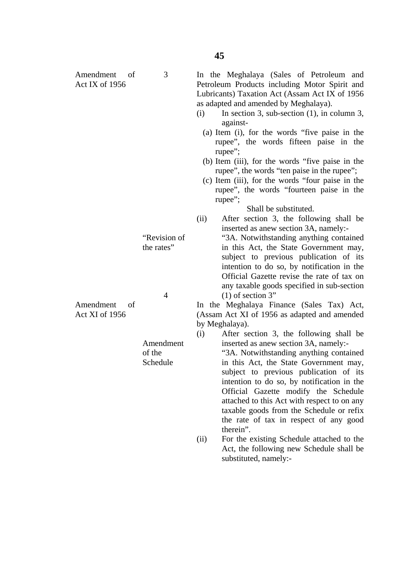"Revision of the rates" 4 Amendment of the Schedule (i) In section 3, sub-section  $(1)$ , in column 3, against- (a) Item (i), for the words "five paise in the rupee", the words fifteen paise in the rupee"; (b) Item (iii), for the words "five paise in the rupee", the words "ten paise in the rupee"; (c) Item (iii), for the words "four paise in the rupee"; Shall be substituted.  $(1)$  of section 3" by Meghalaya). therein". substituted, namely:-

3

Amendment of Act XI of 1956

Amendment of Act IX of 1956

rupee", the words "fourteen paise in the

In the Meghalaya (Sales of Petroleum and Petroleum Products including Motor Spirit and Lubricants) Taxation Act (Assam Act IX of 1956

as adapted and amended by Meghalaya).

- (ii) After section 3, the following shall be inserted as anew section 3A, namely:-
	- "3A. Notwithstanding anything contained in this Act, the State Government may, subject to previous publication of its intention to do so, by notification in the Official Gazette revise the rate of tax on any taxable goods specified in sub-section

In the Meghalaya Finance (Sales Tax) Act, (Assam Act XI of 1956 as adapted and amended

(i) After section 3, the following shall be inserted as anew section 3A, namely:-

> "3A. Notwithstanding anything contained in this Act, the State Government may, subject to previous publication of its intention to do so, by notification in the Official Gazette modify the Schedule attached to this Act with respect to on any taxable goods from the Schedule or refix the rate of tax in respect of any good

(ii) For the existing Schedule attached to the Act, the following new Schedule shall be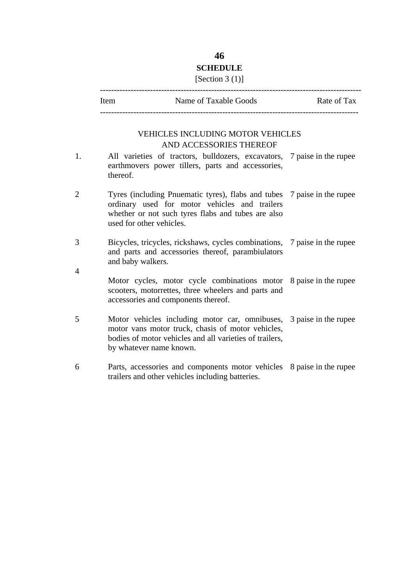#### **46 SCHEDULE**

#### [Section 3 (1)]

----------------------------------------------------------------------------------------------

| Item | Name of Taxable Goods | Rate of Tax |
|------|-----------------------|-------------|
|      |                       |             |

#### VEHICLES INCLUDING MOTOR VEHICLES AND ACCESSORIES THEREOF

| 1.             | All varieties of tractors, bulldozers, excavators, 7 paise in the rupee<br>earthmovers power tillers, parts and accessories,<br>thereof.                                                                       |  |
|----------------|----------------------------------------------------------------------------------------------------------------------------------------------------------------------------------------------------------------|--|
| $\overline{2}$ | Tyres (including Pnuematic tyres), flabs and tubes 7 paise in the rupee<br>ordinary used for motor vehicles and trailers<br>whether or not such tyres flabs and tubes are also<br>used for other vehicles.     |  |
| 3<br>4         | Bicycles, tricycles, rickshaws, cycles combinations, 7 paise in the rupee<br>and parts and accessories thereof, parambiulators<br>and baby walkers.                                                            |  |
|                | Motor cycles, motor cycle combinations motor 8 paise in the rupee<br>scooters, motorrettes, three wheelers and parts and<br>accessories and components thereof.                                                |  |
| 5              | Motor vehicles including motor car, omnibuses, 3 paise in the rupee<br>motor vans motor truck, chasis of motor vehicles,<br>bodies of motor vehicles and all varieties of trailers,<br>by whatever name known. |  |
| 6              | Parts, accessories and components motor vehicles 8 paise in the rupee<br>trailers and other vehicles including batteries.                                                                                      |  |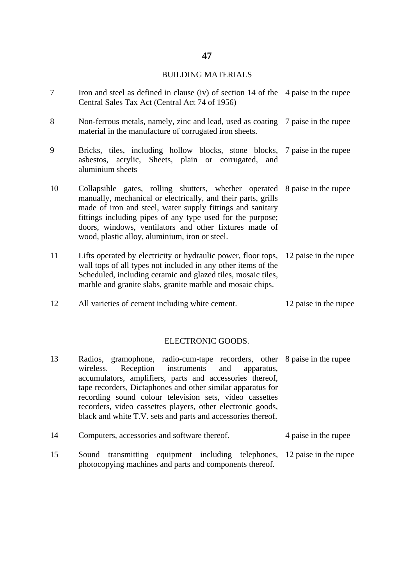#### BUILDING MATERIALS

- 7 Iron and steel as defined in clause (iv) of section 14 of the 4 paise in the rupee Central Sales Tax Act (Central Act 74 of 1956)
- 8 Non-ferrous metals, namely, zinc and lead, used as coating 7 paise in the rupee material in the manufacture of corrugated iron sheets.
- 9 Bricks, tiles, including hollow blocks, stone blocks, asbestos, acrylic, Sheets, plain or corrugated, and aluminium sheets 7 paise in the rupee
- 10 Collapsible gates, rolling shutters, whether operated 8 paise in the rupee manually, mechanical or electrically, and their parts, grills made of iron and steel, water supply fittings and sanitary fittings including pipes of any type used for the purpose; doors, windows, ventilators and other fixtures made of wood, plastic alloy, aluminium, iron or steel.
- 11 Lifts operated by electricity or hydraulic power, floor tops, 12 paise in the rupee wall tops of all types not included in any other items of the Scheduled, including ceramic and glazed tiles, mosaic tiles, marble and granite slabs, granite marble and mosaic chips.
- 12 All varieties of cement including white cement. 12 paise in the rupee

#### ELECTRONIC GOODS.

- 13 Radios, gramophone, radio-cum-tape recorders, other 8 paise in the rupee wireless. Reception instruments and apparatus, accumulators, amplifiers, parts and accessories thereof, tape recorders, Dictaphones and other similar apparatus for recording sound colour television sets, video cassettes recorders, video cassettes players, other electronic goods, black and white T.V. sets and parts and accessories thereof.
- 14 Computers, accessories and software thereof. 4 paise in the rupee
- 15 Sound transmitting equipment including telephones, 12 paise in the rupeephotocopying machines and parts and components thereof.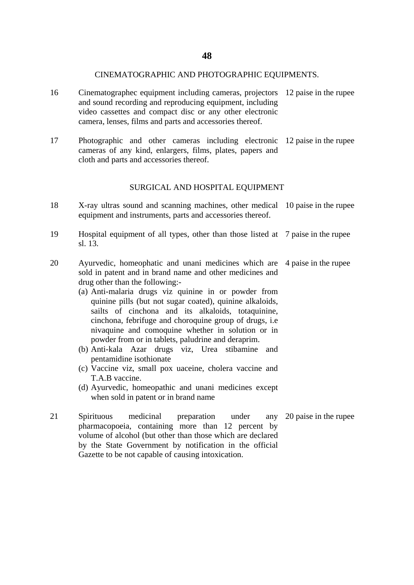#### CINEMATOGRAPHIC AND PHOTOGRAPHIC EQUIPMENTS.

- 16 Cinematographec equipment including cameras, projectors 12 paise in the rupee and sound recording and reproducing equipment, including video cassettes and compact disc or any other electronic camera, lenses, films and parts and accessories thereof.
- 17 Photographic and other cameras including electronic 12 paise in the rupee cameras of any kind, enlargers, films, plates, papers and cloth and parts and accessories thereof.

#### SURGICAL AND HOSPITAL EQUIPMENT

- 18 X-ray ultras sound and scanning machines, other medical 10 paise in the rupee equipment and instruments, parts and accessories thereof.
- 19 Hospital equipment of all types, other than those listed at 7 paise in the rupee sl. 13.
- 20 Ayurvedic, homeophatic and unani medicines which are 4 paise in the rupee sold in patent and in brand name and other medicines and drug other than the following:-
	- (a) Anti-malaria drugs viz quinine in or powder from quinine pills (but not sugar coated), quinine alkaloids, sailts of cinchona and its alkaloids, totaquinine, cinchona, febrifuge and choroquine group of drugs, i.e nivaquine and comoquine whether in solution or in powder from or in tablets, paludrine and deraprim.
	- (b) Anti-kala Azar drugs viz, Urea stibamine and pentamidine isothionate
	- (c) Vaccine viz, small pox uaceine, cholera vaccine and T.A.B vaccine.
	- (d) Ayurvedic, homeopathic and unani medicines except when sold in patent or in brand name
- 21 Spirituous medicinal preparation under any pharmacopoeia, containing more than 12 percent by volume of alcohol (but other than those which are declared by the State Government by notification in the official Gazette to be not capable of causing intoxication. 20 paise in the rupee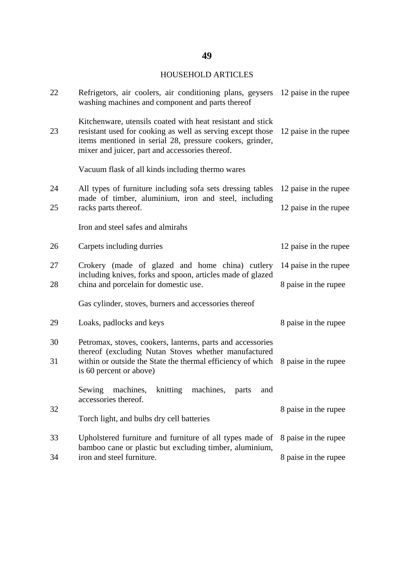### HOUSEHOLD ARTICLES

| 22 | Refrigetors, air coolers, air conditioning plans, geysers 12 paise in the rupee<br>washing machines and component and parts thereof                                                                                                     |                       |  |
|----|-----------------------------------------------------------------------------------------------------------------------------------------------------------------------------------------------------------------------------------------|-----------------------|--|
| 23 | Kitchenware, utensils coated with heat resistant and stick<br>resistant used for cooking as well as serving except those<br>items mentioned in serial 28, pressure cookers, grinder,<br>mixer and juicer, part and accessories thereof. | 12 paise in the rupee |  |
|    | Vacuum flask of all kinds including thermo wares                                                                                                                                                                                        |                       |  |
| 24 | All types of furniture including sofa sets dressing tables<br>made of timber, aluminium, iron and steel, including                                                                                                                      | 12 paise in the rupee |  |
| 25 | racks parts thereof.                                                                                                                                                                                                                    | 12 paise in the rupee |  |
|    | Iron and steel safes and almirahs                                                                                                                                                                                                       |                       |  |
| 26 | Carpets including durries                                                                                                                                                                                                               | 12 paise in the rupee |  |
| 27 | Crokery (made of glazed and home china) cutlery<br>including knives, forks and spoon, articles made of glazed                                                                                                                           | 14 paise in the rupee |  |
| 28 | china and porcelain for domestic use.                                                                                                                                                                                                   | 8 paise in the rupee  |  |
|    | Gas cylinder, stoves, burners and accessories thereof                                                                                                                                                                                   |                       |  |
| 29 | Loaks, padlocks and keys                                                                                                                                                                                                                | 8 paise in the rupee  |  |
| 30 | Petromax, stoves, cookers, lanterns, parts and accessories                                                                                                                                                                              |                       |  |
| 31 | thereof (excluding Nutan Stoves whether manufactured<br>within or outside the State the thermal efficiency of which 8 paise in the rupee<br>is 60 percent or above)                                                                     |                       |  |
|    | Sewing machines, knitting machines,<br>parts<br>and<br>accessories thereof.                                                                                                                                                             |                       |  |
| 32 | Torch light, and bulbs dry cell batteries                                                                                                                                                                                               | 8 paise in the rupee  |  |
| 33 | Upholstered furniture and furniture of all types made of<br>bamboo cane or plastic but excluding timber, aluminium,                                                                                                                     | 8 paise in the rupee  |  |
| 34 | iron and steel furniture.                                                                                                                                                                                                               | 8 paise in the rupee  |  |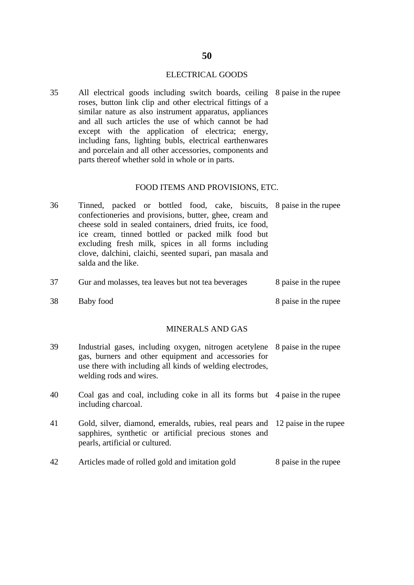#### ELECTRICAL GOODS

35 All electrical goods including switch boards, ceiling 8 paise in the rupee roses, button link clip and other electrical fittings of a similar nature as also instrument apparatus, appliances and all such articles the use of which cannot be had except with the application of electrica; energy, including fans, lighting bubls, electrical earthenwares and porcelain and all other accessories, components and parts thereof whether sold in whole or in parts.

#### FOOD ITEMS AND PROVISIONS, ETC.

| 36 | Tinned, packed or bottled food, cake, biscuits, 8 paise in the rupee |  |
|----|----------------------------------------------------------------------|--|
|    | confectioneries and provisions, butter, ghee, cream and              |  |
|    | cheese sold in sealed containers, dried fruits, ice food,            |  |
|    | ice cream, tinned bottled or packed milk food but                    |  |
|    | excluding fresh milk, spices in all forms including                  |  |
|    | clove, dalchini, claichi, seented supari, pan masala and             |  |
|    | salda and the like.                                                  |  |
|    |                                                                      |  |

| 37 | Gur and molasses, tea leaves but not tea beverages | 8 paise in the rupee |
|----|----------------------------------------------------|----------------------|
| 38 | Baby food                                          | 8 paise in the rupee |

#### MINERALS AND GAS

| 39 | Industrial gases, including oxygen, nitrogen acetylene 8 paise in the rupee<br>gas, burners and other equipment and accessories for<br>use there with including all kinds of welding electrodes,<br>welding rods and wires. |  |
|----|-----------------------------------------------------------------------------------------------------------------------------------------------------------------------------------------------------------------------------|--|
| 40 | Coal gas and coal, including coke in all its forms but 4 paise in the rupee<br>including charcoal.                                                                                                                          |  |
| 41 | Gold, silver, diamond, emeralds, rubies, real pears and 12 paise in the rupee<br>sapphires, synthetic or artificial precious stones and<br>pearls, artificial or cultured.                                                  |  |

42 Articles made of rolled gold and imitation gold 8 paise in the rupee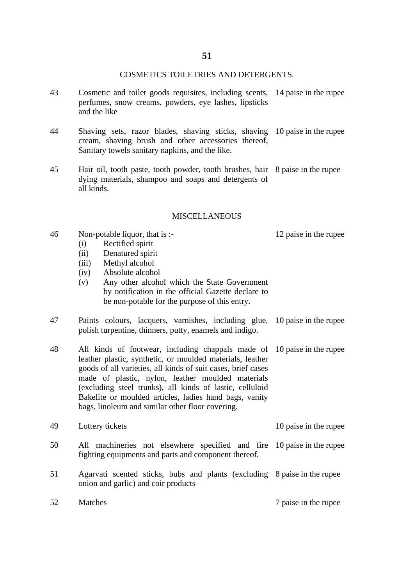#### COSMETICS TOILETRIES AND DETERGENTS.

- 43 Cosmetic and toilet goods requisites, including scents, 14 paise in the rupee perfumes, snow creams, powders, eye lashes, lipsticks and the like
- 44 Shaving sets, razor blades, shaving sticks, shaving 10 paise in the rupee cream, shaving brush and other accessories thereof, Sanitary towels sanitary napkins, and the like.
- 45 Hair oil, tooth paste, tooth powder, tooth brushes, hair 8 paise in the rupee dying materials, shampoo and soaps and detergents of all kinds.

#### **MISCELLANEOUS**

- 46 Non-potable liquor, that is :-
	- (i) Rectified spirit
	- (ii) Denatured spirit
	- (iii) Methyl alcohol
	- (iv) Absolute alcohol
	- (v) Any other alcohol which the State Government by notification in the official Gazette declare to be non-potable for the purpose of this entry.
- 47 Paints colours, lacquers, varnishes, including glue, polish turpentine, thinners, putty, enamels and indigo. 10 paise in the rupee
- 48 All kinds of footwear, including chappals made of leather plastic, synthetic, or moulded materials, leather goods of all varieties, all kinds of suit cases, brief cases made of plastic, nylon, leather moulded materials (excluding steel trunks), all kinds of lastic, celluloid Bakelite or moulded articles, ladies hand bags, vanity bags, linoleum and similar other floor covering. 10 paise in the rupee

| 49 | Lottery tickets | 10 paise in the rupee |
|----|-----------------|-----------------------|
|    |                 |                       |

- 50 All machineries not elsewhere specified and fire 10 paise in the rupee fighting equipments and parts and component thereof.
- 51 Agarvati scented sticks, bubs and plants (excluding 8 paise in the rupee onion and garlic) and coir products

52 Matches 7 paise in the rupee

12 paise in the rupee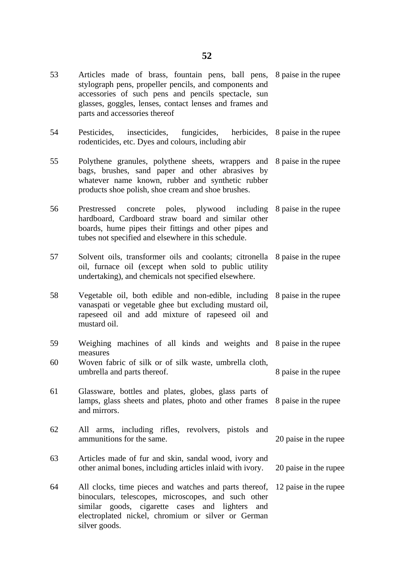- 53 Articles made of brass, fountain pens, ball pens, stylograph pens, propeller pencils, and components and accessories of such pens and pencils spectacle, sun glasses, goggles, lenses, contact lenses and frames and parts and accessories thereof 8 paise in the rupee
- 54 Pesticides, insecticides, fungicides, herbicides, rodenticides, etc. Dyes and colours, including abir 8 paise in the rupee
- 55 Polythene granules, polythene sheets, wrappers and 8 paise in the rupee bags, brushes, sand paper and other abrasives by whatever name known, rubber and synthetic rubber products shoe polish, shoe cream and shoe brushes.
- 56 Prestressed concrete poles, plywood including 8 paise in the rupee hardboard, Cardboard straw board and similar other boards, hume pipes their fittings and other pipes and tubes not specified and elsewhere in this schedule.
- 57 Solvent oils, transformer oils and coolants; citronella oil, furnace oil (except when sold to public utility undertaking), and chemicals not specified elsewhere. 8 paise in the rupee
- 58 Vegetable oil, both edible and non-edible, including vanaspati or vegetable ghee but excluding mustard oil, rapeseed oil and add mixture of rapeseed oil and mustard oil. 8 paise in the rupee
- 59 Weighing machines of all kinds and weights and 8 paise in the rupee measures
- 60 Woven fabric of silk or of silk waste, umbrella cloth, umbrella and parts thereof. 8 paise in the rupee
- 61 Glassware, bottles and plates, globes, glass parts of lamps, glass sheets and plates, photo and other frames and mirrors. 8 paise in the rupee
- 62 All arms, including rifles, revolvers, pistols and ammunitions for the same. 20 paise in the rupee
- 63 Articles made of fur and skin, sandal wood, ivory and other animal bones, including articles inlaid with ivory. 20 paise in the rupee
- 64 All clocks, time pieces and watches and parts thereof, binoculars, telescopes, microscopes, and such other similar goods, cigarette cases and lighters and electroplated nickel, chromium or silver or German silver goods. 12 paise in the rupee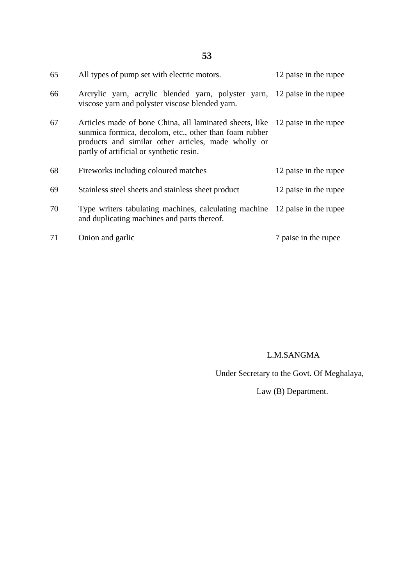| 65 | All types of pump set with electric motors.                                                                                                                                                                                                | 12 paise in the rupee |
|----|--------------------------------------------------------------------------------------------------------------------------------------------------------------------------------------------------------------------------------------------|-----------------------|
| 66 | Arcrylic yarn, acrylic blended yarn, polyster yarn, 12 paise in the rupee<br>viscose yarn and polyster viscose blended yarn.                                                                                                               |                       |
| 67 | Articles made of bone China, all laminated sheets, like 12 paise in the rupee<br>sunmica formica, decolom, etc., other than foam rubber<br>products and similar other articles, made wholly or<br>partly of artificial or synthetic resin. |                       |
| 68 | Fireworks including coloured matches                                                                                                                                                                                                       | 12 paise in the rupee |
|    |                                                                                                                                                                                                                                            |                       |
| 69 | Stainless steel sheets and stainless sheet product                                                                                                                                                                                         | 12 paise in the rupee |
| 70 | Type writers tabulating machines, calculating machine 12 paise in the rupee<br>and duplicating machines and parts thereof.                                                                                                                 |                       |

#### L.M.SANGMA

Under Secretary to the Govt. Of Meghalaya,

Law (B) Department.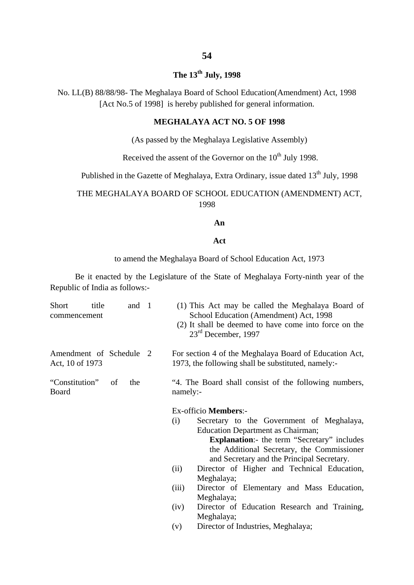#### **54**

# **The 13th July, 1998**

No. LL(B) 88/88/98- The Meghalaya Board of School Education(Amendment) Act, 1998 [Act No.5 of 1998] is hereby published for general information.

#### **MEGHALAYA ACT NO. 5 OF 1998**

(As passed by the Meghalaya Legislative Assembly)

Received the assent of the Governor on the  $10^{th}$  July 1998.

Published in the Gazette of Meghalaya, Extra Ordinary, issue dated 13<sup>th</sup> July, 1998

#### THE MEGHALAYA BOARD OF SCHOOL EDUCATION (AMENDMENT) ACT, 1998

#### **An**

#### **Act**

to amend the Meghalaya Board of School Education Act, 1973

Be it enacted by the Legislature of the State of Meghalaya Forty-ninth year of the Republic of India as follows:-

| Short<br>title<br>commencement             | and 1     | (1) This Act may be called the Meghalaya Board of<br>School Education (Amendment) Act, 1998<br>(2) It shall be deemed to have come into force on the<br>$23rd$ December, 1997 |
|--------------------------------------------|-----------|-------------------------------------------------------------------------------------------------------------------------------------------------------------------------------|
| Amendment of Schedule 2<br>Act, 10 of 1973 |           | For section 4 of the Meghalaya Board of Education Act,<br>1973, the following shall be substituted, namely:-                                                                  |
| "Constitution"<br>Board                    | of<br>the | "4. The Board shall consist of the following numbers,<br>namely:-                                                                                                             |
|                                            |           | Ex-officio Members:-                                                                                                                                                          |
|                                            |           | Secretary to the Government of Meghalaya,<br>(i)                                                                                                                              |
|                                            |           | <b>Education Department as Chairman;</b>                                                                                                                                      |
|                                            |           | <b>Explanation:</b> - the term "Secretary" includes                                                                                                                           |
|                                            |           | the Additional Secretary, the Commissioner                                                                                                                                    |
|                                            |           | and Secretary and the Principal Secretary.                                                                                                                                    |
|                                            |           | Director of Higher and Technical Education,<br>(ii)                                                                                                                           |
|                                            |           | Meghalaya;                                                                                                                                                                    |
|                                            |           | Director of Elementary and Mass Education,<br>(iii)                                                                                                                           |
|                                            |           | Meghalaya;                                                                                                                                                                    |
|                                            |           | Director of Education Research and Training,<br>(iv)                                                                                                                          |
|                                            |           | Meghalaya;                                                                                                                                                                    |
|                                            |           |                                                                                                                                                                               |

(v) Director of Industries, Meghalaya;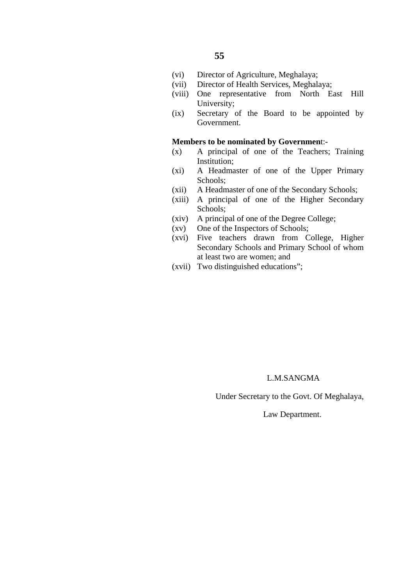- (vi) Director of Agriculture, Meghalaya;
- (vii) Director of Health Services, Meghalaya;
- (viii) One representative from North East Hill University;
- (ix) Secretary of the Board to be appointed by Government.

#### **Members to be nominated by Governmen**t:-

- (x) A principal of one of the Teachers; Training Institution;
- (xi) A Headmaster of one of the Upper Primary Schools;
- (xii) A Headmaster of one of the Secondary Schools;
- (xiii) A principal of one of the Higher Secondary Schools;
- (xiv) A principal of one of the Degree College;
- (xv) One of the Inspectors of Schools;
- (xvi) Five teachers drawn from College, Higher Secondary Schools and Primary School of whom at least two are women; and
- (xvii) Two distinguished educations";

#### L.M.SANGMA

Under Secretary to the Govt. Of Meghalaya,

Law Department.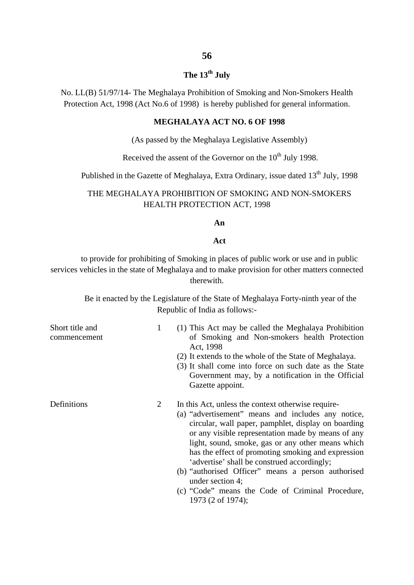#### **The 13th July**

No. LL(B) 51/97/14- The Meghalaya Prohibition of Smoking and Non-Smokers Health Protection Act, 1998 (Act No.6 of 1998) is hereby published for general information.

#### **MEGHALAYA ACT NO. 6 OF 1998**

(As passed by the Meghalaya Legislative Assembly)

Received the assent of the Governor on the  $10^{th}$  July 1998.

Published in the Gazette of Meghalaya, Extra Ordinary, issue dated 13<sup>th</sup> July, 1998

#### THE MEGHALAYA PROHIBITION OF SMOKING AND NON-SMOKERS HEALTH PROTECTION ACT, 1998

#### **An**

#### **Act**

to provide for prohibiting of Smoking in places of public work or use and in public services vehicles in the state of Meghalaya and to make provision for other matters connected therewith.

Be it enacted by the Legislature of the State of Meghalaya Forty-ninth year of the Republic of India as follows:-

| Short title and<br>commencement | 1 | (1) This Act may be called the Meghalaya Prohibition<br>of Smoking and Non-smokers health Protection<br>Act, 1998<br>(2) It extends to the whole of the State of Meghalaya.<br>(3) It shall come into force on such date as the State<br>Government may, by a notification in the Official<br>Gazette appoint.                                                                                                                                                                                                                        |
|---------------------------------|---|---------------------------------------------------------------------------------------------------------------------------------------------------------------------------------------------------------------------------------------------------------------------------------------------------------------------------------------------------------------------------------------------------------------------------------------------------------------------------------------------------------------------------------------|
| Definitions                     | 2 | In this Act, unless the context otherwise require-<br>(a) "advertisement" means and includes any notice,<br>circular, wall paper, pamphlet, display on boarding<br>or any visible representation made by means of any<br>light, sound, smoke, gas or any other means which<br>has the effect of promoting smoking and expression<br>'advertise' shall be construed accordingly;<br>(b) "authorised Officer" means a person authorised<br>under section $4$ ;<br>(c) "Code" means the Code of Criminal Procedure,<br>1973 (2 of 1974); |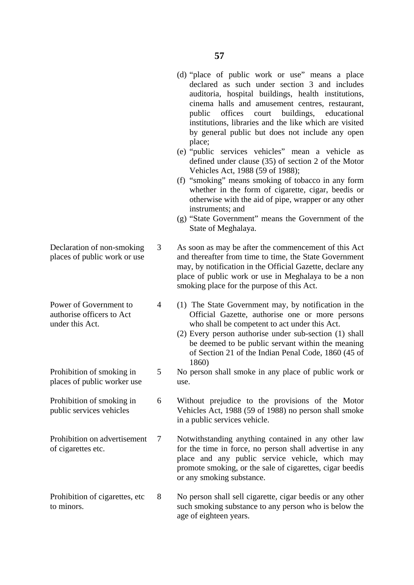(d) "place of public work or use" means a place

- 3 4 5 6 7 8 declared as such under section 3 and includes auditoria, hospital buildings, health institutions, cinema halls and amusement centres, restaurant, public offices court buildings, educational institutions, libraries and the like which are visited by general public but does not include any open place; (e) "public services vehicles" mean a vehicle as defined under clause (35) of section 2 of the Motor Vehicles Act, 1988 (59 of 1988); (f) "smoking" means smoking of tobacco in any form whether in the form of cigarette, cigar, beedis or otherwise with the aid of pipe, wrapper or any other instruments; and (g) "State Government" means the Government of the State of Meghalaya. As soon as may be after the commencement of this Act and thereafter from time to time, the State Government may, by notification in the Official Gazette, declare any place of public work or use in Meghalaya to be a non smoking place for the purpose of this Act. who shall be competent to act under this Act. 1860) use. in a public services vehicle. or any smoking substance. No person shall sell cigarette, cigar beedis or any other such smoking substance to any person who is below the age of eighteen years.
- Declaration of non-smoking places of public work or use
- Power of Government to authorise officers to Act under this Act.
- Prohibition of smoking in places of public worker use
- Prohibition of smoking in public services vehicles
- Prohibition on advertisement of cigarettes etc.
- Prohibition of cigarettes, etc to minors.
- (1) The State Government may, by notification in the Official Gazette, authorise one or more persons
- (2) Every person authorise under sub-section (1) shall be deemed to be public servant within the meaning of Section 21 of the Indian Penal Code, 1860 (45 of
- No person shall smoke in any place of public work or
- Without prejudice to the provisions of the Motor Vehicles Act, 1988 (59 of 1988) no person shall smoke
- Notwithstanding anything contained in any other law for the time in force, no person shall advertise in any place and any public service vehicle, which may promote smoking, or the sale of cigarettes, cigar beedis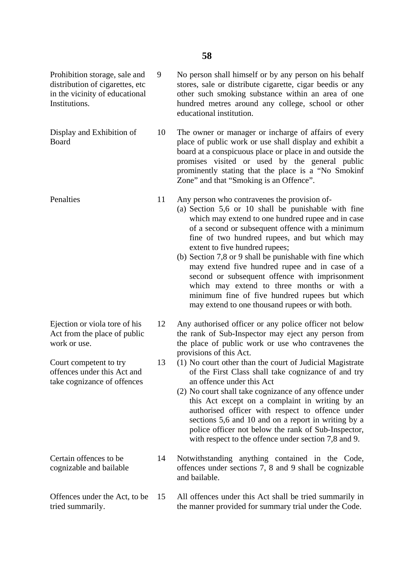9

13

Prohibition storage, sale and distribution of cigarettes, etc in the vicinity of educational Institutions.

Display and Exhibition of Board

**Penalties** 

Ejection or viola tore of his Act from the place of public work or use.

Court competent to try offences under this Act and take cognizance of offences

Certain offences to be cognizable and bailable

Offences under the Act, to be tried summarily.

No person shall himself or by any person on his behalf stores, sale or distribute cigarette, cigar beedis or any other such smoking substance within an area of one hundred metres around any college, school or other educational institution.

10 The owner or manager or incharge of affairs of every place of public work or use shall display and exhibit a board at a conspicuous place or place in and outside the promises visited or used by the general public prominently stating that the place is a "No Smokinf Zone" and that "Smoking is an Offence".

11 Any person who contravenes the provision of-

> (a) Section 5,6 or 10 shall be punishable with fine which may extend to one hundred rupee and in case of a second or subsequent offence with a minimum fine of two hundred rupees, and but which may extent to five hundred rupees;

> (b) Section 7,8 or 9 shall be punishable with fine which may extend five hundred rupee and in case of a second or subsequent offence with imprisonment which may extend to three months or with a minimum fine of five hundred rupees but which may extend to one thousand rupees or with both.

12 Any authorised officer or any police officer not below the rank of Sub-Inspector may eject any person from the place of public work or use who contravenes the provisions of this Act.

- (1) No court other than the court of Judicial Magistrate of the First Class shall take cognizance of and try an offence under this Act
- (2) No court shall take cognizance of any offence under this Act except on a complaint in writing by an authorised officer with respect to offence under sections 5,6 and 10 and on a report in writing by a police officer not below the rank of Sub-Inspector, with respect to the offence under section 7,8 and 9.
- 14 Notwithstanding anything contained in the Code, offences under sections 7, 8 and 9 shall be cognizable and bailable.

15 All offences under this Act shall be tried summarily in the manner provided for summary trial under the Code.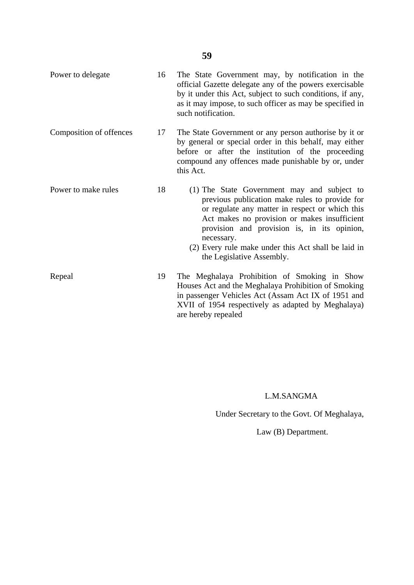- Power to delegate Composition of offences Power to make rules 16 17 18 The State Government may, by notification in the official Gazette delegate any of the powers exercisable by it under this Act, subject to such conditions, if any, as it may impose, to such officer as may be specified in such notification. The State Government or any person authorise by it or by general or special order in this behalf, may either before or after the institution of the proceeding compound any offences made punishable by or, under this Act. (1) The State Government may and subject to previous publication make rules to provide for or regulate any matter in respect or which this Act makes no provision or makes insufficient provision and provision is, in its opinion, necessary. (2) Every rule make under this Act shall be laid in the Legislative Assembly.
- Repeal 19 The Meghalaya Prohibition of Smoking in Show Houses Act and the Meghalaya Prohibition of Smoking in passenger Vehicles Act (Assam Act IX of 1951 and XVII of 1954 respectively as adapted by Meghalaya) are hereby repealed

#### L.M.SANGMA

Under Secretary to the Govt. Of Meghalaya,

Law (B) Department.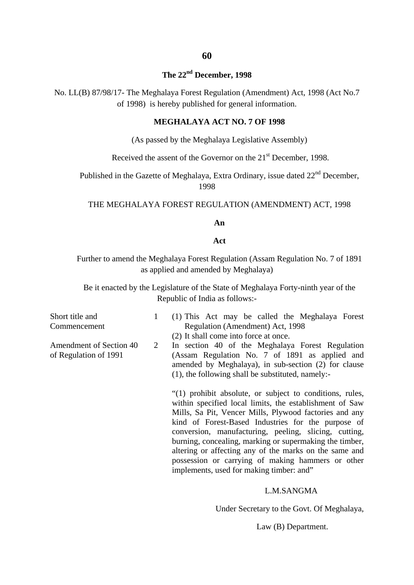# **60**

#### **The 22nd December, 1998**

No. LL(B) 87/98/17- The Meghalaya Forest Regulation (Amendment) Act, 1998 (Act No.7 of 1998) is hereby published for general information.

#### **MEGHALAYA ACT NO. 7 OF 1998**

(As passed by the Meghalaya Legislative Assembly)

Received the assent of the Governor on the 21<sup>st</sup> December, 1998.

Published in the Gazette of Meghalaya, Extra Ordinary, issue dated 22<sup>nd</sup> December, 1998

THE MEGHALAYA FOREST REGULATION (AMENDMENT) ACT, 1998

#### **An**

#### **Act**

Further to amend the Meghalaya Forest Regulation (Assam Regulation No. 7 of 1891 as applied and amended by Meghalaya)

Be it enacted by the Legislature of the State of Meghalaya Forty-ninth year of the Republic of India as follows:-

Short title and Commencement

Amendment of Section 40 of Regulation of 1991

1

- (1) This Act may be called the Meghalaya Forest Regulation (Amendment) Act, 1998
	- (2) It shall come into force at once.
- 2 In section 40 of the Meghalaya Forest Regulation (Assam Regulation No. 7 of 1891 as applied and amended by Meghalaya), in sub-section (2) for clause (1), the following shall be substituted, namely:-

"(1) prohibit absolute, or subject to conditions, rules, within specified local limits, the establishment of Saw Mills, Sa Pit, Vencer Mills, Plywood factories and any kind of Forest-Based Industries for the purpose of conversion, manufacturing, peeling, slicing, cutting, burning, concealing, marking or supermaking the timber, altering or affecting any of the marks on the same and possession or carrying of making hammers or other implements, used for making timber: and"

#### L.M.SANGMA

Under Secretary to the Govt. Of Meghalaya,

Law (B) Department.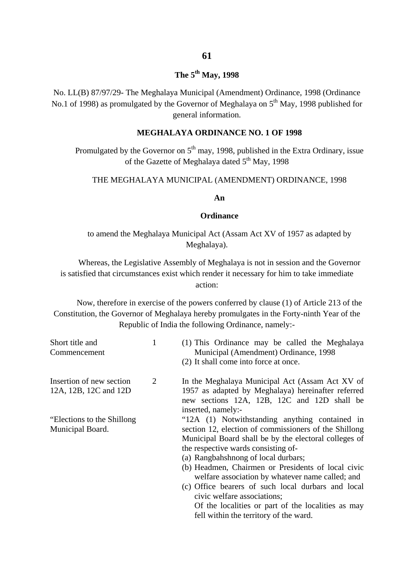### **The 5th May, 1998**

No. LL(B) 87/97/29- The Meghalaya Municipal (Amendment) Ordinance, 1998 (Ordinance No.1 of 1998) as promulgated by the Governor of Meghalaya on  $5<sup>th</sup>$  May, 1998 published for general information.

#### **MEGHALAYA ORDINANCE NO. 1 OF 1998**

Promulgated by the Governor on  $5<sup>th</sup>$  may, 1998, published in the Extra Ordinary, issue of the Gazette of Meghalaya dated  $5<sup>th</sup>$  May, 1998

#### THE MEGHALAYA MUNICIPAL (AMENDMENT) ORDINANCE, 1998

**An**

#### **Ordinance**

to amend the Meghalaya Municipal Act (Assam Act XV of 1957 as adapted by Meghalaya).

Whereas, the Legislative Assembly of Meghalaya is not in session and the Governor is satisfied that circumstances exist which render it necessary for him to take immediate action:

Now, therefore in exercise of the powers conferred by clause (1) of Article 213 of the Constitution, the Governor of Meghalaya hereby promulgates in the Forty-ninth Year of the Republic of India the following Ordinance, namely:-

| Short title and<br>Commencement                   |   | (1) This Ordinance may be called the Meghalaya<br>Municipal (Amendment) Ordinance, 1998<br>(2) It shall come into force at once.                                                                                                                                                            |
|---------------------------------------------------|---|---------------------------------------------------------------------------------------------------------------------------------------------------------------------------------------------------------------------------------------------------------------------------------------------|
| Insertion of new section<br>12A, 12B, 12C and 12D | 2 | In the Meghalaya Municipal Act (Assam Act XV of<br>1957 as adapted by Meghalaya) hereinafter referred<br>new sections 12A, 12B, 12C and 12D shall be<br>inserted, namely:-                                                                                                                  |
| "Elections to the Shillong"<br>Municipal Board.   |   | "12A (1) Notwithstanding anything contained in<br>section 12, election of commissioners of the Shillong<br>Municipal Board shall be by the electoral colleges of<br>the respective wards consisting of-<br>(a) Rangbahshnong of local durbars;                                              |
|                                                   |   | (b) Headmen, Chairmen or Presidents of local civic<br>welfare association by whatever name called; and<br>(c) Office bearers of such local durbars and local<br>civic welfare associations;<br>Of the localities or part of the localities as may<br>fell within the territory of the ward. |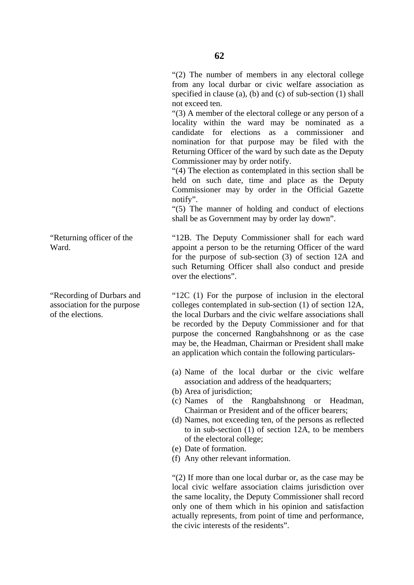"(2) The number of members in any electoral college from any local durbar or civic welfare association as specified in clause (a), (b) and (c) of sub-section (1) shall not exceed ten.

"(3) A member of the electoral college or any person of a locality within the ward may be nominated as a candidate for elections as a commissioner and nomination for that purpose may be filed with the Returning Officer of the ward by such date as the Deputy Commissioner may by order notify.

"(4) The election as contemplated in this section shall be held on such date, time and place as the Deputy Commissioner may by order in the Official Gazette notify".

"(5) The manner of holding and conduct of elections shall be as Government may by order lay down".

"12B. The Deputy Commissioner shall for each ward appoint a person to be the returning Officer of the ward for the purpose of sub-section (3) of section 12A and such Returning Officer shall also conduct and preside over the elections".

"12C (1) For the purpose of inclusion in the electoral colleges contemplated in sub-section (1) of section 12A, the local Durbars and the civic welfare associations shall be recorded by the Deputy Commissioner and for that purpose the concerned Rangbahshnong or as the case may be, the Headman, Chairman or President shall make an application which contain the following particulars-

- (a) Name of the local durbar or the civic welfare association and address of the headquarters;
- (b) Area of jurisdiction;
- (c) Names of the Rangbahshnong or Headman, Chairman or President and of the officer bearers;
- (d) Names, not exceeding ten, of the persons as reflected to in sub-section (1) of section 12A, to be members of the electoral college;
- (e) Date of formation.
- (f) Any other relevant information.

"(2) If more than one local durbar or, as the case may be local civic welfare association claims jurisdiction over the same locality, the Deputy Commissioner shall record only one of them which in his opinion and satisfaction actually represents, from point of time and performance, the civic interests of the residents".

"Returning officer of the Ward.

"Recording of Durbars and association for the purpose of the elections.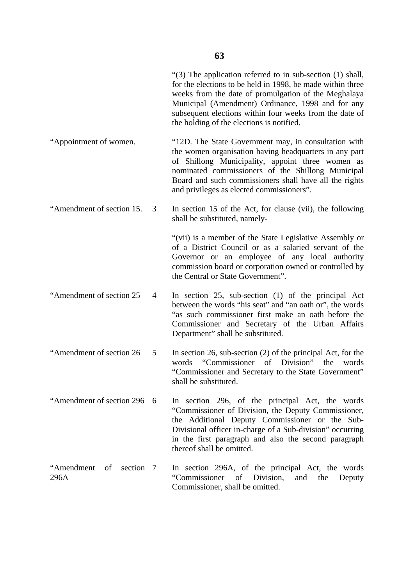|                                    | "(3) The application referred to in sub-section $(1)$ shall,<br>for the elections to be held in 1998, be made within three<br>weeks from the date of promulgation of the Meghalaya<br>Municipal (Amendment) Ordinance, 1998 and for any<br>subsequent elections within four weeks from the date of<br>the holding of the elections is notified. |
|------------------------------------|-------------------------------------------------------------------------------------------------------------------------------------------------------------------------------------------------------------------------------------------------------------------------------------------------------------------------------------------------|
| "Appointment of women.             | "12D. The State Government may, in consultation with<br>the women organisation having headquarters in any part<br>of Shillong Municipality, appoint three women as<br>nominated commissioners of the Shillong Municipal<br>Board and such commissioners shall have all the rights<br>and privileges as elected commissioners".                  |
| "Amendment of section 15.<br>3     | In section 15 of the Act, for clause (vii), the following<br>shall be substituted, namely-                                                                                                                                                                                                                                                      |
|                                    | "(vii) is a member of the State Legislative Assembly or<br>of a District Council or as a salaried servant of the<br>Governor or an employee of any local authority<br>commission board or corporation owned or controlled by<br>the Central or State Government".                                                                               |
| "Amendment of section 25<br>4      | In section $25$ , sub-section $(1)$ of the principal Act<br>between the words "his seat" and "an oath or", the words<br>"as such commissioner first make an oath before the<br>Commissioner and Secretary of the Urban Affairs<br>Department" shall be substituted.                                                                             |
| "Amendment of section 26<br>5      | In section 26, sub-section $(2)$ of the principal Act, for the<br>words "Commissioner of Division"<br>the<br>words<br>"Commissioner and Secretary to the State Government"<br>shall be substituted.                                                                                                                                             |
| "Amendment of section 296<br>- 6   | In section 296, of the principal Act, the words<br>"Commissioner of Division, the Deputy Commissioner,<br>the Additional Deputy Commissioner or the Sub-<br>Divisional officer in-charge of a Sub-division" occurring<br>in the first paragraph and also the second paragraph<br>thereof shall be omitted.                                      |
| "Amendment of<br>section 7<br>296A | In section 296A, of the principal Act, the words<br>of<br>Division,<br>"Commissioner"<br>and<br>the<br>Deputy<br>Commissioner, shall be omitted.                                                                                                                                                                                                |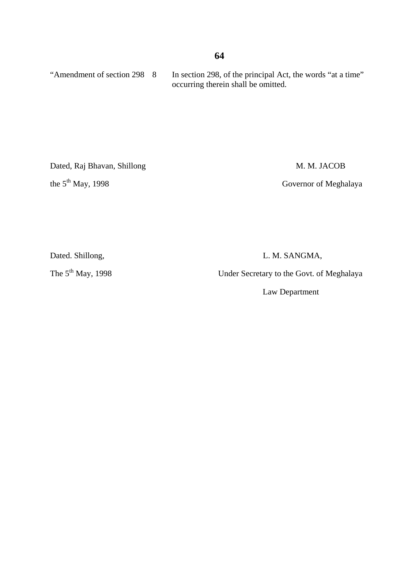#### **64**

"Amendment of section 298 8 In section 298, of the principal Act, the words "at a time" occurring therein shall be omitted.

Dated, Raj Bhavan, Shillong M. M. JACOB

the 5<sup>th</sup> May, 1998 Governor of Meghalaya

Dated. Shillong, L. M. SANGMA,

The 5<sup>th</sup> May, 1998 Under Secretary to the Govt. of Meghalaya

Law Department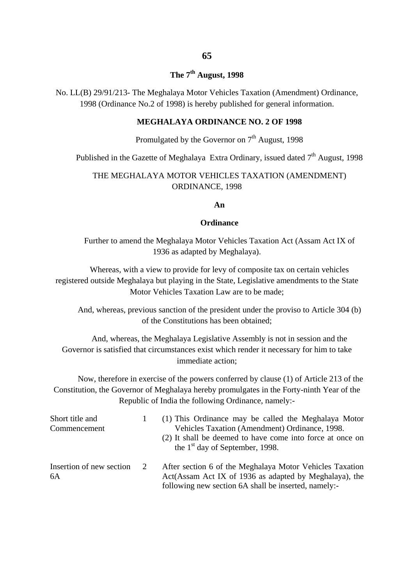### **65**

#### **The 7th August, 1998**

No. LL(B) 29/91/213- The Meghalaya Motor Vehicles Taxation (Amendment) Ordinance, 1998 (Ordinance No.2 of 1998) is hereby published for general information.

#### **MEGHALAYA ORDINANCE NO. 2 OF 1998**

#### Promulgated by the Governor on  $7<sup>th</sup>$  August, 1998

Published in the Gazette of Meghalaya Extra Ordinary, issued dated  $7<sup>th</sup>$  August, 1998

#### THE MEGHALAYA MOTOR VEHICLES TAXATION (AMENDMENT) ORDINANCE, 1998

#### **An**

#### **Ordinance**

Further to amend the Meghalaya Motor Vehicles Taxation Act (Assam Act IX of 1936 as adapted by Meghalaya).

Whereas, with a view to provide for levy of composite tax on certain vehicles registered outside Meghalaya but playing in the State, Legislative amendments to the State Motor Vehicles Taxation Law are to be made;

And, whereas, previous sanction of the president under the proviso to Article 304 (b) of the Constitutions has been obtained;

And, whereas, the Meghalaya Legislative Assembly is not in session and the Governor is satisfied that circumstances exist which render it necessary for him to take immediate action;

Now, therefore in exercise of the powers conferred by clause (1) of Article 213 of the Constitution, the Governor of Meghalaya hereby promulgates in the Forty-ninth Year of the Republic of India the following Ordinance, namely:-

| Short title and<br>Commencement |   | (1) This Ordinance may be called the Meghalaya Motor<br>Vehicles Taxation (Amendment) Ordinance, 1998.<br>(2) It shall be deemed to have come into force at once on<br>the $1st$ day of September, 1998. |
|---------------------------------|---|----------------------------------------------------------------------------------------------------------------------------------------------------------------------------------------------------------|
| Insertion of new section<br>6A  | 2 | After section 6 of the Meghalaya Motor Vehicles Taxation<br>Act(Assam Act IX of 1936 as adapted by Meghalaya), the<br>following new section 6A shall be inserted, namely:-                               |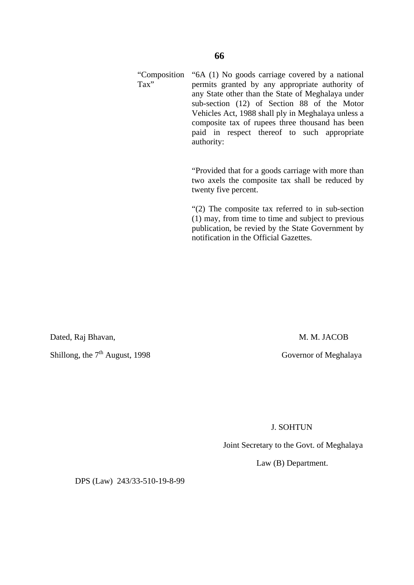#### "Composition Tax" "6A (1) No goods carriage covered by a national permits granted by any appropriate authority of any State other than the State of Meghalaya under sub-section (12) of Section 88 of the Motor Vehicles Act, 1988 shall ply in Meghalaya unless a composite tax of rupees three thousand has been paid in respect thereof to such appropriate authority:

"Provided that for a goods carriage with more than two axels the composite tax shall be reduced by twenty five percent.

"(2) The composite tax referred to in sub-section (1) may, from time to time and subject to previous publication, be revied by the State Government by notification in the Official Gazettes.

Dated, Raj Bhavan, M. M. JACOB

Shillong, the 7<sup>th</sup> August, 1998 Governor of Meghalaya

J. SOHTUN

Joint Secretary to the Govt. of Meghalaya

Law (B) Department.

DPS (Law) 243/33-510-19-8-99